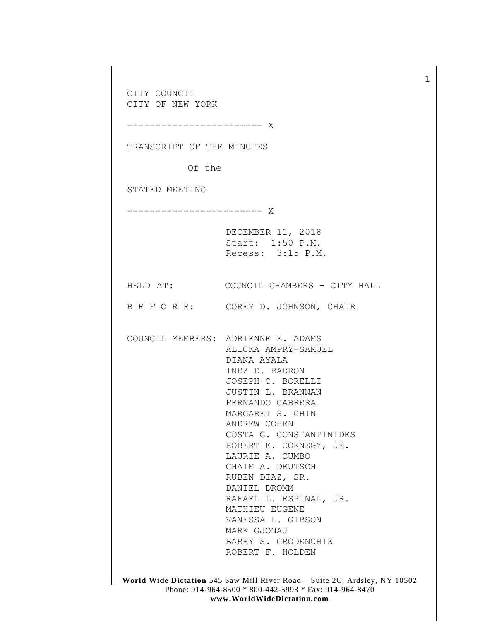CITY COUNCIL CITY OF NEW YORK ------------------------ X TRANSCRIPT OF THE MINUTES Of the STATED MEETING ------------------------ X DECEMBER 11, 2018 Start: 1:50 P.M. Recess: 3:15 P.M. HELD AT: COUNCIL CHAMBERS – CITY HALL B E F O R E: COREY D. JOHNSON, CHAIR COUNCIL MEMBERS: ADRIENNE E. ADAMS ALICKA AMPRY-SAMUEL DIANA AYALA INEZ D. BARRON JOSEPH C. BORELLI JUSTIN L. BRANNAN FERNANDO CABRERA MARGARET S. CHIN ANDREW COHEN COSTA G. CONSTANTINIDES ROBERT E. CORNEGY, JR. LAURIE A. CUMBO CHAIM A. DEUTSCH RUBEN DIAZ, SR. DANIEL DROMM RAFAEL L. ESPINAL, JR. MATHIEU EUGENE VANESSA L. GIBSON MARK GJONAJ BARRY S. GRODENCHIK ROBERT F. HOLDEN

1

**World Wide Dictation** 545 Saw Mill River Road – Suite 2C, Ardsley, NY 10502 Phone: 914-964-8500 \* 800-442-5993 \* Fax: 914-964-8470 **www.WorldWideDictation.com**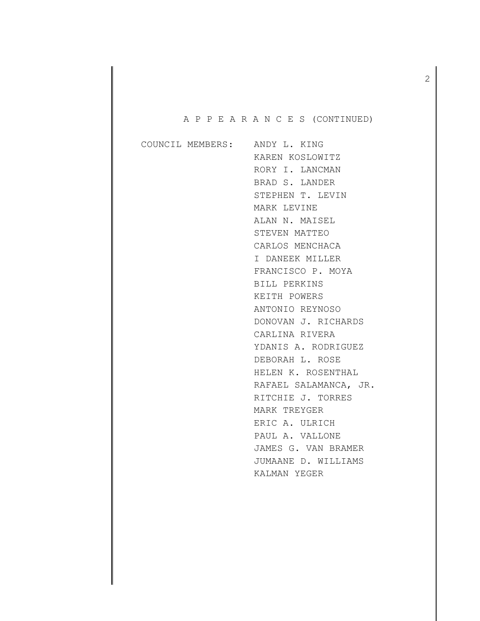# A P P E A R A N C E S (CONTINUED)

|  | COUNCIL MEMBERS: ANDY L. KING |
|--|-------------------------------|
|  | KAREN KOSLOWITZ               |
|  | RORY I. LANCMAN               |
|  | BRAD S. LANDER                |
|  | STEPHEN T. LEVIN              |
|  | MARK LEVINE                   |
|  | ALAN N. MAISEL                |
|  | STEVEN MATTEO                 |
|  | CARLOS MENCHACA               |
|  | I DANEEK MILLER               |
|  | FRANCISCO P. MOYA             |
|  | BILL PERKINS                  |
|  | KEITH POWERS                  |
|  | ANTONIO REYNOSO               |
|  | DONOVAN J. RICHARDS           |
|  | CARLINA RIVERA                |
|  | YDANIS A. RODRIGUEZ           |
|  | DEBORAH L. ROSE               |
|  | HELEN K. ROSENTHAL            |
|  | RAFAEL SALAMANCA, JR.         |
|  | RITCHIE J. TORRES             |
|  | MARK TREYGER                  |
|  | ERIC A. ULRICH                |
|  | PAUL A. VALLONE               |
|  | JAMES G. VAN BRAMER           |
|  | JUMAANE D. WILLIAMS           |
|  | KALMAN YEGER                  |
|  |                               |

2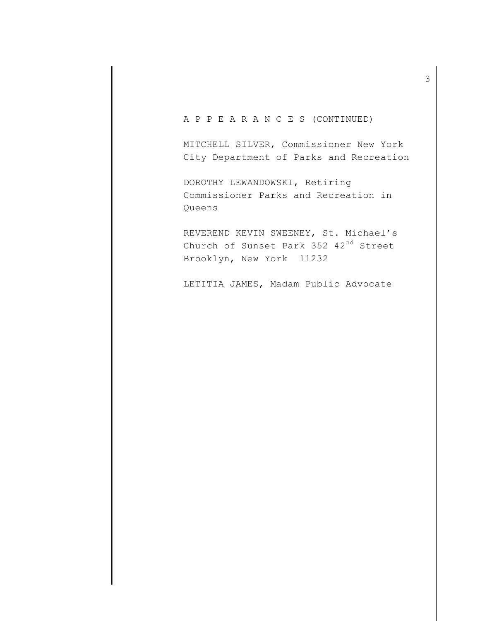A P P E A R A N C E S (CONTINUED)

MITCHELL SILVER, Commissioner New York City Department of Parks and Recreation

DOROTHY LEWANDOWSKI, Retiring Commissioner Parks and Recreation in Queens

REVEREND KEVIN SWEENEY, St. Michael's Church of Sunset Park 352 42nd Street Brooklyn, New York 11232

LETITIA JAMES, Madam Public Advocate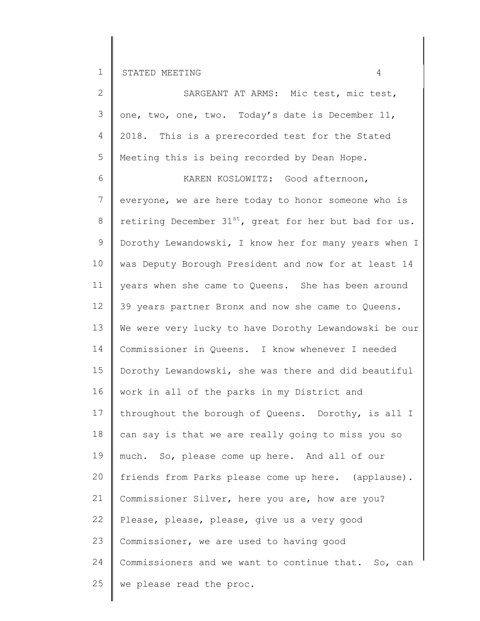25

we please read the proc.

2 3 4 5 6 7 8 9 10 11 12 13 14 15 16 17 18 19 20 21 22 23 24 2018. This is a prerecorded test for the Stated SARGEANT AT ARMS: Mic test, mic test, one, two, one, two. Today's date is December 11, Meeting this is being recorded by Dean Hope. KAREN KOSLOWITZ: Good afternoon, everyone, we are here today to honor someone who is retiring December  $31^{st}$ , great for her but bad for us. Dorothy Lewandowski, I know her for many years when I was Deputy Borough President and now for at least 14 years when she came to Queens. She has been around 39 years partner Bronx and now she came to Queens. We were very lucky to have Dorothy Lewandowski be our Commissioner in Queens. I know whenever I needed Dorothy Lewandowski, she was there and did beautiful work in all of the parks in my District and throughout the borough of Queens. Dorothy, is all I can say is that we are really going to miss you so much. So, please come up here. And all of our friends from Parks please come up here. (applause). Commissioner Silver, here you are, how are you? Please, please, please, give us a very good Commissioner, we are used to having good Commissioners and we want to continue that. So, can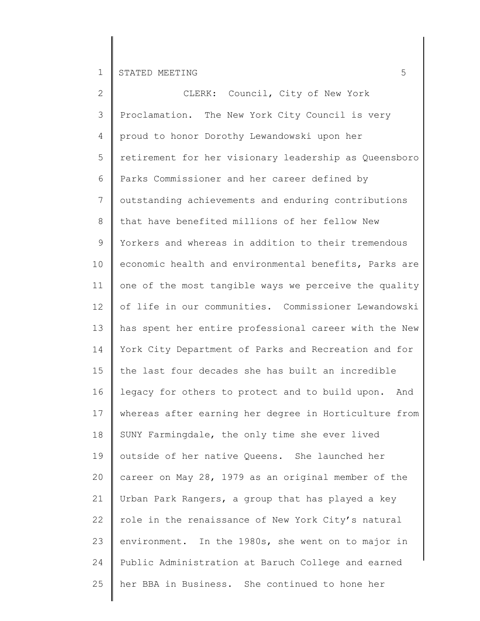| $\overline{2}$ | CLERK: Council, City of New York                       |
|----------------|--------------------------------------------------------|
| 3              | Proclamation. The New York City Council is very        |
| 4              | proud to honor Dorothy Lewandowski upon her            |
| 5              | retirement for her visionary leadership as Queensboro  |
| 6              | Parks Commissioner and her career defined by           |
| 7              | outstanding achievements and enduring contributions    |
| 8              | that have benefited millions of her fellow New         |
| 9              | Yorkers and whereas in addition to their tremendous    |
| 10             | economic health and environmental benefits, Parks are  |
| 11             | one of the most tangible ways we perceive the quality  |
| 12             | of life in our communities. Commissioner Lewandowski   |
| 13             | has spent her entire professional career with the New  |
| 14             | York City Department of Parks and Recreation and for   |
| 15             | the last four decades she has built an incredible      |
| 16             | legacy for others to protect and to build upon.<br>And |
| 17             | whereas after earning her degree in Horticulture from  |
| 18             | SUNY Farmingdale, the only time she ever lived         |
| 19             | outside of her native Queens. She launched her         |
| 20             | career on May 28, 1979 as an original member of the    |
| 21             | Urban Park Rangers, a group that has played a key      |
| 22             | role in the renaissance of New York City's natural     |
| 23             | environment. In the 1980s, she went on to major in     |
| 24             | Public Administration at Baruch College and earned     |
| 25             | her BBA in Business. She continued to hone her         |
|                |                                                        |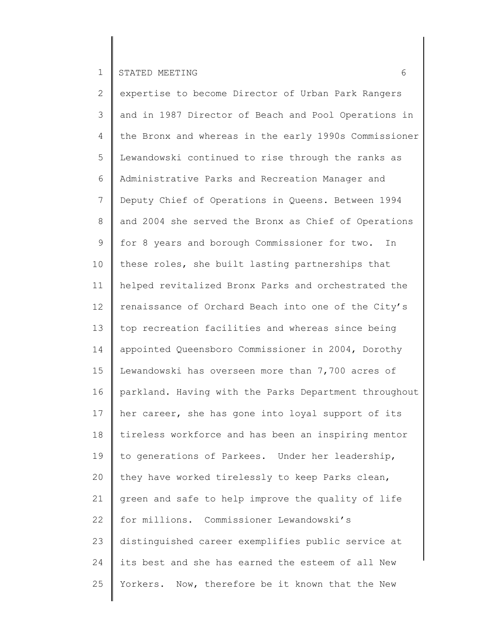2 3 4 5 6 7 8 9 10 11 12 13 14 15 16 17 18 19 20 21 22 23 24 25 expertise to become Director of Urban Park Rangers and in 1987 Director of Beach and Pool Operations in the Bronx and whereas in the early 1990s Commissioner Lewandowski continued to rise through the ranks as Administrative Parks and Recreation Manager and Deputy Chief of Operations in Queens. Between 1994 and 2004 she served the Bronx as Chief of Operations for 8 years and borough Commissioner for two. In these roles, she built lasting partnerships that helped revitalized Bronx Parks and orchestrated the renaissance of Orchard Beach into one of the City's top recreation facilities and whereas since being appointed Queensboro Commissioner in 2004, Dorothy Lewandowski has overseen more than 7,700 acres of parkland. Having with the Parks Department throughout her career, she has gone into loyal support of its tireless workforce and has been an inspiring mentor to generations of Parkees. Under her leadership, they have worked tirelessly to keep Parks clean, green and safe to help improve the quality of life for millions. Commissioner Lewandowski's distinguished career exemplifies public service at its best and she has earned the esteem of all New Yorkers. Now, therefore be it known that the New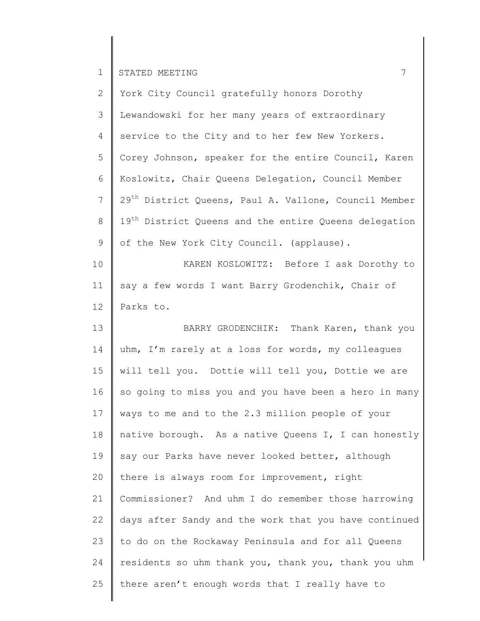25

| $\overline{2}$ | York City Council gratefully honors Dorothy                       |
|----------------|-------------------------------------------------------------------|
| 3              | Lewandowski for her many years of extraordinary                   |
| 4              | service to the City and to her few New Yorkers.                   |
| 5              | Corey Johnson, speaker for the entire Council, Karen              |
| 6              | Koslowitz, Chair Queens Delegation, Council Member                |
| $7\phantom{.}$ | 29 <sup>th</sup> District Queens, Paul A. Vallone, Council Member |
| $8\,$          | 19 <sup>th</sup> District Queens and the entire Queens delegation |
| 9              | of the New York City Council. (applause).                         |
| 10             | KAREN KOSLOWITZ: Before I ask Dorothy to                          |
| 11             | say a few words I want Barry Grodenchik, Chair of                 |
| 12             | Parks to.                                                         |
| 13             | BARRY GRODENCHIK: Thank Karen, thank you                          |
| 14             | uhm, I'm rarely at a loss for words, my colleagues                |
| 15             | will tell you. Dottie will tell you, Dottie we are                |
| 16             | so going to miss you and you have been a hero in many             |
| 17             | ways to me and to the 2.3 million people of your                  |
| 18             | native borough. As a native Queens I, I can honestly              |
| 19             | say our Parks have never looked better, although                  |
| 20             | there is always room for improvement, right                       |
| 21             | Commissioner? And uhm I do remember those harrowing               |
| 22             | days after Sandy and the work that you have continued             |
| 23             | to do on the Rockaway Peninsula and for all Queens                |
| 24             | residents so uhm thank you, thank you, thank you uhm              |
| 25             | there aren't enough words that I really have to                   |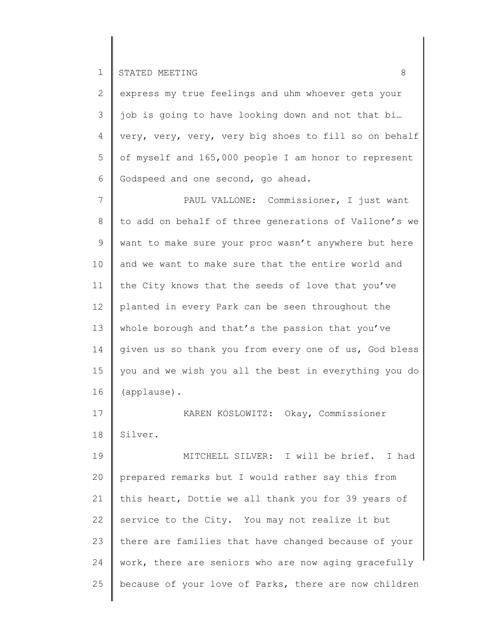2 3 4 5 6 express my true feelings and uhm whoever gets your job is going to have looking down and not that bi… very, very, very, very big shoes to fill so on behalf of myself and 165,000 people I am honor to represent Godspeed and one second, go ahead.

7 8 9 10 11 12 13 14 15 16 PAUL VALLONE: Commissioner, I just want to add on behalf of three generations of Vallone's we want to make sure your proc wasn't anywhere but here and we want to make sure that the entire world and the City knows that the seeds of love that you've planted in every Park can be seen throughout the whole borough and that's the passion that you've given us so thank you from every one of us, God bless you and we wish you all the best in everything you do (applause).

17 18 KAREN KOSLOWITZ: Okay, Commissioner Silver.

19 20 21 22 23 24 25 MITCHELL SILVER: I will be brief. I had prepared remarks but I would rather say this from this heart, Dottie we all thank you for 39 years of service to the City. You may not realize it but there are families that have changed because of your work, there are seniors who are now aging gracefully because of your love of Parks, there are now children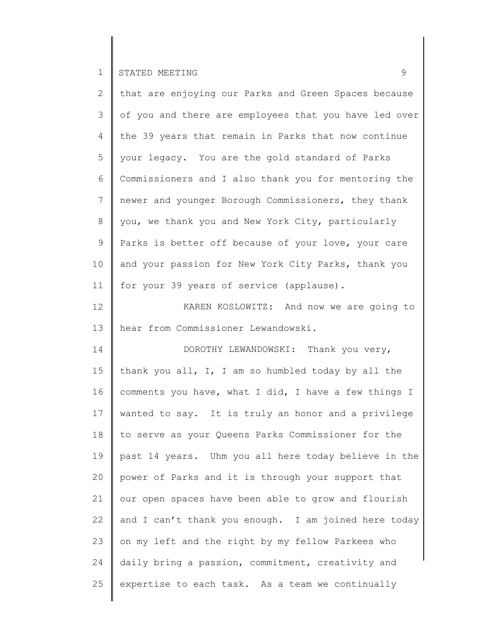| $\overline{2}$  | that are enjoying our Parks and Green Spaces because  |
|-----------------|-------------------------------------------------------|
| 3               | of you and there are employees that you have led over |
| 4               | the 39 years that remain in Parks that now continue   |
| 5               | your legacy. You are the gold standard of Parks       |
| 6               | Commissioners and I also thank you for mentoring the  |
| $7\phantom{.0}$ | newer and younger Borough Commissioners, they thank   |
| 8               | you, we thank you and New York City, particularly     |
| 9               | Parks is better off because of your love, your care   |
| 10 <sub>o</sub> | and your passion for New York City Parks, thank you   |
| 11              | for your 39 years of service (applause).              |
| 12              | KAREN KOSLOWITZ: And now we are going to              |
| 13              | hear from Commissioner Lewandowski.                   |
| 14              | DOROTHY LEWANDOWSKI: Thank you very,                  |
| 15              | thank you all, I, I am so humbled today by all the    |
| 16              | comments you have, what I did, I have a few things I  |
| 17              | wanted to say. It is truly an honor and a privilege   |
| 18              | to serve as your Queens Parks Commissioner for the    |
| 19              | past 14 years. Uhm you all here today believe in the  |
| 20              | power of Parks and it is through your support that    |
| 21              | our open spaces have been able to grow and flourish   |
| 22              | and I can't thank you enough. I am joined here today  |
| 23              | on my left and the right by my fellow Parkees who     |
| 24              | daily bring a passion, commitment, creativity and     |
| 25              | expertise to each task. As a team we continually      |
|                 |                                                       |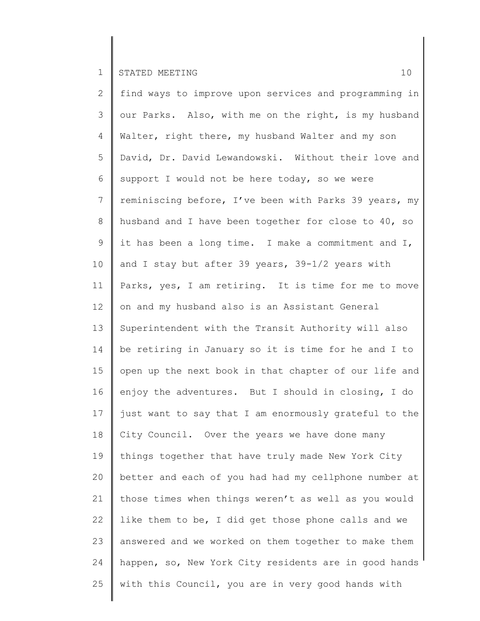2 3 4 5 6 7 8 9 10 11 12 13 14 15 16 17 18 19 20 21 22 23 24 25 find ways to improve upon services and programming in our Parks. Also, with me on the right, is my husband Walter, right there, my husband Walter and my son David, Dr. David Lewandowski. Without their love and support I would not be here today, so we were reminiscing before, I've been with Parks 39 years, my husband and I have been together for close to 40, so it has been a long time. I make a commitment and I, and I stay but after 39 years, 39-1/2 years with Parks, yes, I am retiring. It is time for me to move on and my husband also is an Assistant General Superintendent with the Transit Authority will also be retiring in January so it is time for he and I to open up the next book in that chapter of our life and enjoy the adventures. But I should in closing, I do just want to say that I am enormously grateful to the City Council. Over the years we have done many things together that have truly made New York City better and each of you had had my cellphone number at those times when things weren't as well as you would like them to be, I did get those phone calls and we answered and we worked on them together to make them happen, so, New York City residents are in good hands with this Council, you are in very good hands with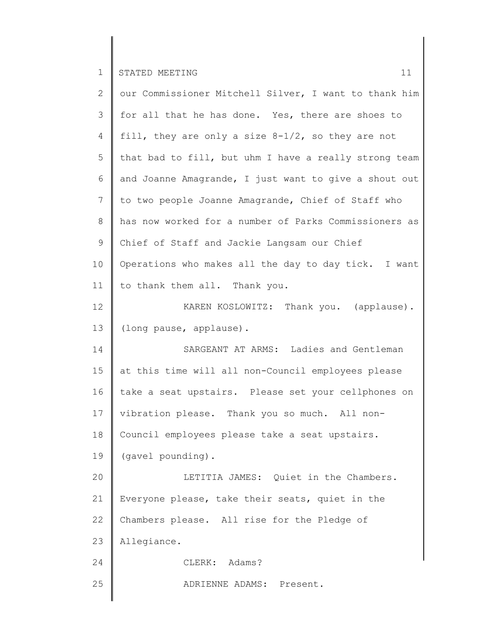| $\mathbf{2}^{\prime}$ | our Commissioner Mitchell Silver, I want to thank him |
|-----------------------|-------------------------------------------------------|
| 3                     | for all that he has done. Yes, there are shoes to     |
| 4                     | fill, they are only a size $8-1/2$ , so they are not  |
| 5                     | that bad to fill, but uhm I have a really strong team |
| 6                     | and Joanne Amagrande, I just want to give a shout out |
| $7\phantom{.0}$       | to two people Joanne Amagrande, Chief of Staff who    |
| 8                     | has now worked for a number of Parks Commissioners as |
| 9                     | Chief of Staff and Jackie Langsam our Chief           |
| 10                    | Operations who makes all the day to day tick. I want  |
| 11                    | to thank them all. Thank you.                         |
| 12                    | KAREN KOSLOWITZ: Thank you. (applause).               |
| 13                    | (long pause, applause).                               |
| 14                    | SARGEANT AT ARMS: Ladies and Gentleman                |
| 15                    | at this time will all non-Council employees please    |
| 16                    | take a seat upstairs. Please set your cellphones on   |
| 17                    | vibration please. Thank you so much. All non-         |
| 18                    | Council employees please take a seat upstairs.        |
| 19                    | (gavel pounding).                                     |
| 20                    | LETITIA JAMES: Quiet in the Chambers.                 |
| 21                    | Everyone please, take their seats, quiet in the       |
| 22                    | Chambers please. All rise for the Pledge of           |
| 23                    | Allegiance.                                           |
| 24                    | CLERK: Adams?                                         |
| 25                    | ADRIENNE ADAMS: Present.                              |
|                       |                                                       |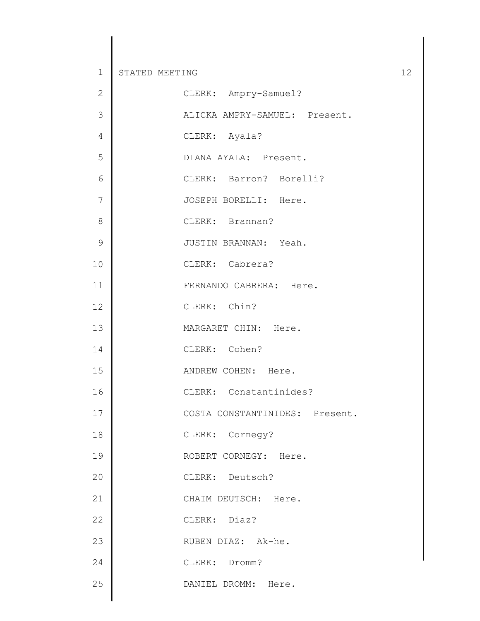| $\mathbf{2}$   | CLERK: Ampry-Samuel?           |
|----------------|--------------------------------|
| $\mathcal{S}$  | ALICKA AMPRY-SAMUEL: Present.  |
| $\sqrt{4}$     | CLERK: Ayala?                  |
| 5              | DIANA AYALA: Present.          |
| 6              | CLERK: Barron? Borelli?        |
| $\overline{7}$ | JOSEPH BORELLI: Here.          |
| $\,8\,$        | CLERK: Brannan?                |
| $\mathcal{G}$  | JUSTIN BRANNAN: Yeah.          |
| 10             | CLERK: Cabrera?                |
| 11             | FERNANDO CABRERA: Here.        |
| 12             | CLERK: Chin?                   |
| 13             | MARGARET CHIN: Here.           |
| 14             | CLERK: Cohen?                  |
| 15             | ANDREW COHEN: Here.            |
| 16             | CLERK: Constantinides?         |
| 17             | COSTA CONSTANTINIDES: Present. |
| 18             | CLERK: Cornegy?                |
| 19             | ROBERT CORNEGY: Here.          |
| 20             | CLERK: Deutsch?                |
| 21             | CHAIM DEUTSCH: Here.           |
| 22             | CLERK: Diaz?                   |
| 23             | RUBEN DIAZ: Ak-he.             |
| 24             | CLERK: Dromm?                  |
| 25             | DANIEL DROMM: Here.            |
|                |                                |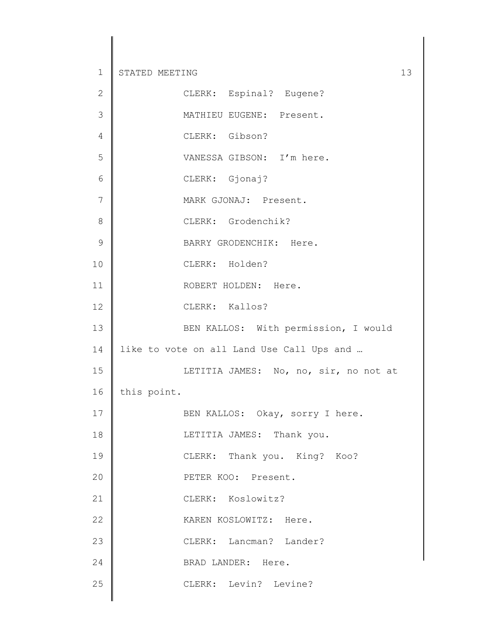| $\mathbf{2}$   | CLERK: Espinal? Eugene?                   |
|----------------|-------------------------------------------|
| $\mathfrak{Z}$ | MATHIEU EUGENE: Present.                  |
| $\sqrt{4}$     | CLERK: Gibson?                            |
| 5              | VANESSA GIBSON: I'm here.                 |
| $\sqrt{6}$     | CLERK: Gjonaj?                            |
| $\overline{7}$ | MARK GJONAJ: Present.                     |
| $\,8\,$        | CLERK: Grodenchik?                        |
| $\mathcal{G}$  | BARRY GRODENCHIK: Here.                   |
| 10             | CLERK: Holden?                            |
| 11             | ROBERT HOLDEN: Here.                      |
| 12             | CLERK: Kallos?                            |
| 13             | BEN KALLOS: With permission, I would      |
| 14             | like to vote on all Land Use Call Ups and |
| 15             | LETITIA JAMES: No, no, sir, no not at     |
| 16             | this point.                               |
| 17             | BEN KALLOS: Okay, sorry I here.           |
| 18             | LETITIA JAMES: Thank you.                 |
| 19             | CLERK: Thank you. King? Koo?              |
| 20             | PETER KOO: Present.                       |
| 21             | CLERK: Koslowitz?                         |
| 22             | KAREN KOSLOWITZ: Here.                    |
| 23             | CLERK: Lancman? Lander?                   |
| 24             | BRAD LANDER: Here.                        |
| 25             | CLERK: Levin? Levine?                     |
|                |                                           |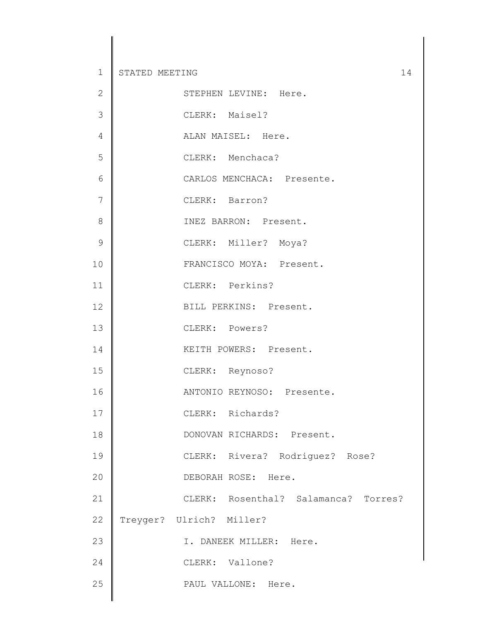| $\overline{2}$ | STEPHEN LEVINE: Here.                |
|----------------|--------------------------------------|
| 3              | CLERK: Maisel?                       |
| $\sqrt{4}$     | ALAN MAISEL: Here.                   |
| 5              | CLERK: Menchaca?                     |
| 6              | CARLOS MENCHACA: Presente.           |
| $\overline{7}$ | CLERK: Barron?                       |
| 8              | INEZ BARRON: Present.                |
| $\mathcal{G}$  | CLERK: Miller? Moya?                 |
| 10             | FRANCISCO MOYA: Present.             |
| 11             | CLERK: Perkins?                      |
| 12             | BILL PERKINS: Present.               |
| 13             | CLERK: Powers?                       |
| 14             | KEITH POWERS: Present.               |
| 15             | CLERK: Reynoso?                      |
| 16             | ANTONIO REYNOSO: Presente.           |
| 17             | CLERK: Richards?                     |
| 18             | DONOVAN RICHARDS: Present.           |
| 19             | CLERK: Rivera? Rodriguez? Rose?      |
| 20             | DEBORAH ROSE: Here.                  |
| 21             | CLERK: Rosenthal? Salamanca? Torres? |
| 22             | Treyger? Ulrich? Miller?             |
| 23             | I. DANEEK MILLER: Here.              |
| 24             | CLERK: Vallone?                      |
| 25             | PAUL VALLONE: Here.                  |
|                |                                      |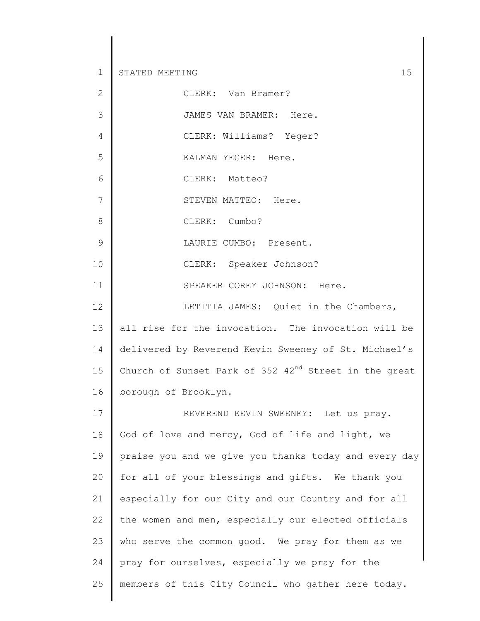| $\mathbf{2}$   | CLERK: Van Bramer?                                            |
|----------------|---------------------------------------------------------------|
| 3              | JAMES VAN BRAMER: Here.                                       |
| $\overline{4}$ | CLERK: Williams? Yeger?                                       |
| 5              | KALMAN YEGER: Here.                                           |
| 6              | CLERK: Matteo?                                                |
| 7              | STEVEN MATTEO: Here.                                          |
| $8\,$          | CLERK: Cumbo?                                                 |
| 9              | LAURIE CUMBO: Present.                                        |
| 10             | CLERK: Speaker Johnson?                                       |
| 11             | SPEAKER COREY JOHNSON: Here.                                  |
| 12             | LETITIA JAMES: Quiet in the Chambers,                         |
| 13             | all rise for the invocation. The invocation will be           |
| 14             | delivered by Reverend Kevin Sweeney of St. Michael's          |
| 15             | Church of Sunset Park of $352 \t 42^{nd}$ Street in the great |
| 16             | borough of Brooklyn.                                          |
| 17             | REVEREND KEVIN SWEENEY: Let us pray.                          |
| 18             | God of love and mercy, God of life and light, we              |
| 19             | praise you and we give you thanks today and every day         |
| 20             | for all of your blessings and gifts. We thank you             |
| 21             | especially for our City and our Country and for all           |
| 22             | the women and men, especially our elected officials           |
| 23             | who serve the common good. We pray for them as we             |
| 24             | pray for ourselves, especially we pray for the                |
| 25             | members of this City Council who gather here today.           |
|                |                                                               |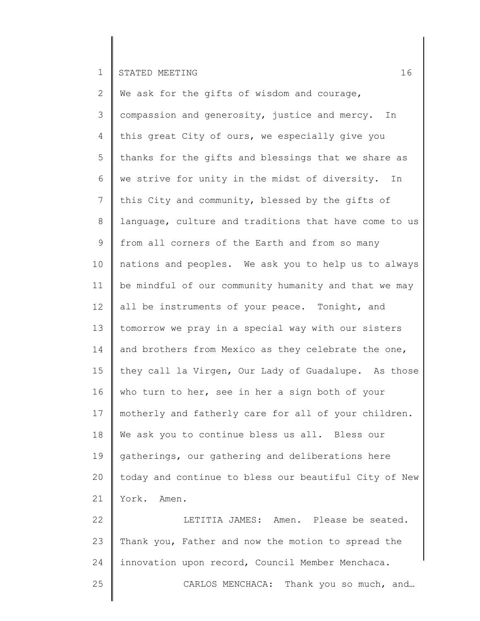25

2 3 4 5 6 7 8 9 10 11 12 13 14 15 16 17 18 19 20 21 22 23 24 We ask for the gifts of wisdom and courage, compassion and generosity, justice and mercy. In this great City of ours, we especially give you thanks for the gifts and blessings that we share as we strive for unity in the midst of diversity. In this City and community, blessed by the gifts of language, culture and traditions that have come to us from all corners of the Earth and from so many nations and peoples. We ask you to help us to always be mindful of our community humanity and that we may all be instruments of your peace. Tonight, and tomorrow we pray in a special way with our sisters and brothers from Mexico as they celebrate the one, they call la Virgen, Our Lady of Guadalupe. As those who turn to her, see in her a sign both of your motherly and fatherly care for all of your children. We ask you to continue bless us all. Bless our gatherings, our gathering and deliberations here today and continue to bless our beautiful City of New York. Amen. LETITIA JAMES: Amen. Please be seated. Thank you, Father and now the motion to spread the innovation upon record, Council Member Menchaca.

CARLOS MENCHACA: Thank you so much, and…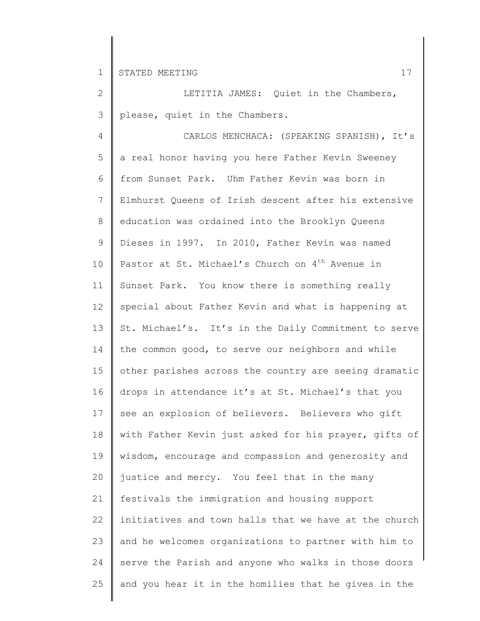2 3 LETITIA JAMES: Quiet in the Chambers, please, quiet in the Chambers.

4 5 6 7 8 9 10 11 12 13 14 15 16 17 18 19 20 21 22 23 24 25 CARLOS MENCHACA: (SPEAKING SPANISH), It's a real honor having you here Father Kevin Sweeney from Sunset Park. Uhm Father Kevin was born in Elmhurst Queens of Irish descent after his extensive education was ordained into the Brooklyn Queens Dieses in 1997. In 2010, Father Kevin was named Pastor at St. Michael's Church on  $4<sup>th</sup>$  Avenue in Sunset Park. You know there is something really special about Father Kevin and what is happening at St. Michael's. It's in the Daily Commitment to serve the common good, to serve our neighbors and while other parishes across the country are seeing dramatic drops in attendance it's at St. Michael's that you see an explosion of believers. Believers who gift with Father Kevin just asked for his prayer, gifts of wisdom, encourage and compassion and generosity and justice and mercy. You feel that in the many festivals the immigration and housing support initiatives and town halls that we have at the church and he welcomes organizations to partner with him to serve the Parish and anyone who walks in those doors and you hear it in the homilies that he gives in the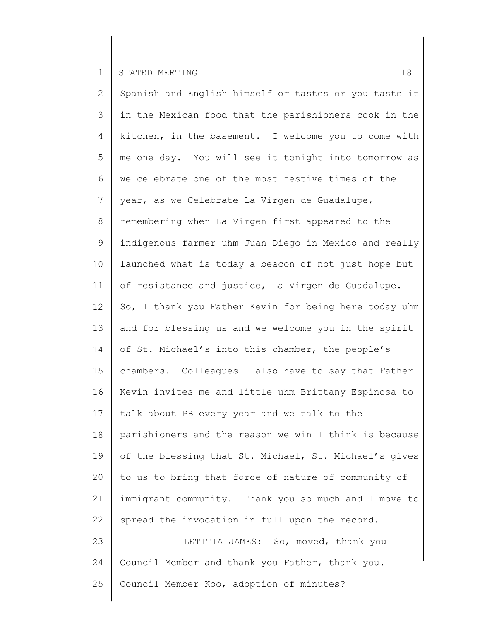2 3 4 5 6 7 8 9 10 11 12 13 14 15 16 17 18 19 20 21 22 23 24 25 Spanish and English himself or tastes or you taste it in the Mexican food that the parishioners cook in the kitchen, in the basement. I welcome you to come with me one day. You will see it tonight into tomorrow as we celebrate one of the most festive times of the year, as we Celebrate La Virgen de Guadalupe, remembering when La Virgen first appeared to the indigenous farmer uhm Juan Diego in Mexico and really launched what is today a beacon of not just hope but of resistance and justice, La Virgen de Guadalupe. So, I thank you Father Kevin for being here today uhm and for blessing us and we welcome you in the spirit of St. Michael's into this chamber, the people's chambers. Colleagues I also have to say that Father Kevin invites me and little uhm Brittany Espinosa to talk about PB every year and we talk to the parishioners and the reason we win I think is because of the blessing that St. Michael, St. Michael's gives to us to bring that force of nature of community of immigrant community. Thank you so much and I move to spread the invocation in full upon the record. LETITIA JAMES: So, moved, thank you Council Member and thank you Father, thank you. Council Member Koo, adoption of minutes?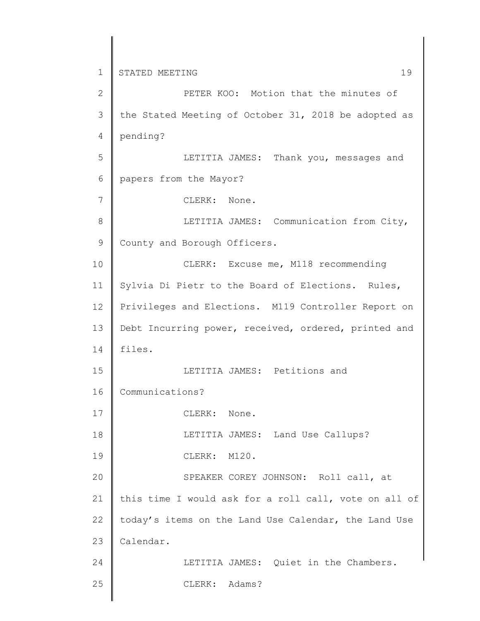1 2 3 4 5 6 7 8 9 10 11 12 13 14 15 16 17 18 19 20 21 22 23 24 25 STATED MEETING 19 PETER KOO: Motion that the minutes of the Stated Meeting of October 31, 2018 be adopted as pending? LETITIA JAMES: Thank you, messages and papers from the Mayor? CLERK: None. LETITIA JAMES: Communication from City, County and Borough Officers. CLERK: Excuse me, M118 recommending Sylvia Di Pietr to the Board of Elections. Rules, Privileges and Elections. M119 Controller Report on Debt Incurring power, received, ordered, printed and files. LETITIA JAMES: Petitions and Communications? CLERK: None. LETITIA JAMES: Land Use Callups? CLERK: M120. SPEAKER COREY JOHNSON: Roll call, at this time I would ask for a roll call, vote on all of today's items on the Land Use Calendar, the Land Use Calendar. LETITIA JAMES: Quiet in the Chambers. CLERK: Adams?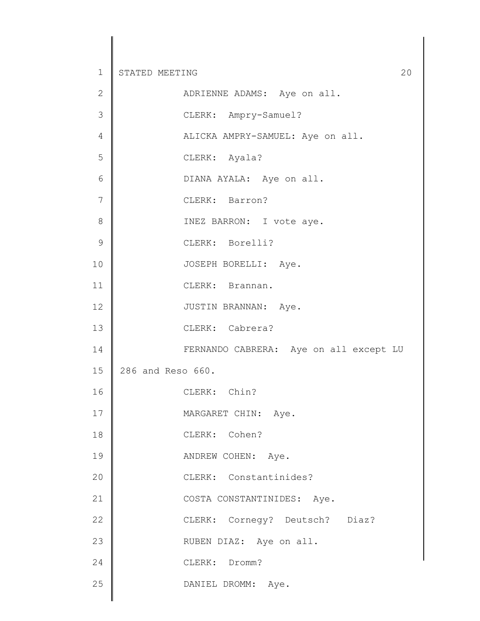| $\mathbf{2}$   | ADRIENNE ADAMS: Aye on all.            |
|----------------|----------------------------------------|
| $\mathcal{S}$  | CLERK: Ampry-Samuel?                   |
| $\overline{4}$ | ALICKA AMPRY-SAMUEL: Aye on all.       |
| 5              | CLERK: Ayala?                          |
| $\epsilon$     | DIANA AYALA: Aye on all.               |
| 7              | CLERK: Barron?                         |
| $\,8\,$        | INEZ BARRON: I vote aye.               |
| $\mathcal{G}$  | CLERK: Borelli?                        |
| 10             | JOSEPH BORELLI: Aye.                   |
| 11             | CLERK: Brannan.                        |
| 12             | JUSTIN BRANNAN: Aye.                   |
| 13             | CLERK: Cabrera?                        |
| 14             | FERNANDO CABRERA: Aye on all except LU |
| 15             | 286 and Reso 660.                      |
| 16             | CLERK: Chin?                           |
| 17             | MARGARET CHIN: Aye.                    |
| 18             | CLERK: Cohen?                          |
| 19             | ANDREW COHEN: Aye.                     |
| 20             | CLERK: Constantinides?                 |
| 21             | COSTA CONSTANTINIDES: Aye.             |
| 22             | CLERK: Cornegy? Deutsch? Diaz?         |
| 23             | RUBEN DIAZ: Aye on all.                |
| 24             | CLERK: Dromm?                          |
| 25             | DANIEL DROMM: Aye.                     |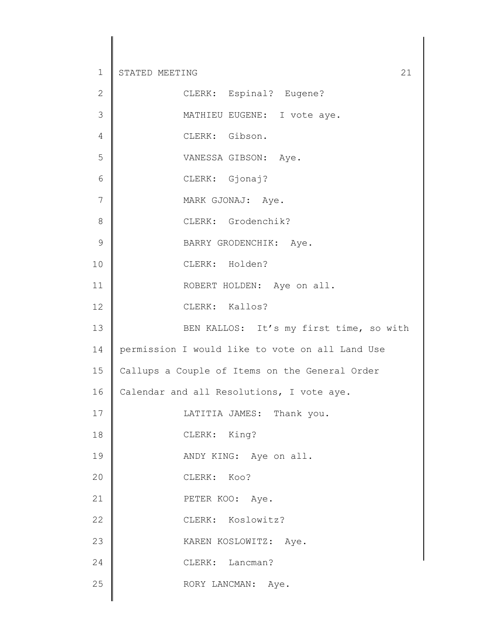| $\mathbf{2}$   | CLERK: Espinal? Eugene?                         |
|----------------|-------------------------------------------------|
| $\mathfrak{Z}$ | MATHIEU EUGENE: I vote aye.                     |
| $\overline{4}$ | CLERK: Gibson.                                  |
| 5              | VANESSA GIBSON: Aye.                            |
| 6              | CLERK: Gjonaj?                                  |
| 7              | MARK GJONAJ: Aye.                               |
| $\,8\,$        | CLERK: Grodenchik?                              |
| $\mathcal{G}$  | BARRY GRODENCHIK: Aye.                          |
| 10             | CLERK: Holden?                                  |
| 11             | ROBERT HOLDEN: Aye on all.                      |
| 12             | CLERK: Kallos?                                  |
| 13             | BEN KALLOS: It's my first time, so with         |
| 14             | permission I would like to vote on all Land Use |
| 15             | Callups a Couple of Items on the General Order  |
| 16             | Calendar and all Resolutions, I vote aye.       |
| 17             | LATITIA JAMES: Thank you.                       |
| 18             | CLERK: King?                                    |
| 19             | ANDY KING: Aye on all.                          |
| 20             | CLERK: Koo?                                     |
| 21             | PETER KOO: Aye.                                 |
| 22             | CLERK: Koslowitz?                               |
| 23             | KAREN KOSLOWITZ: Aye.                           |
| 24             | CLERK: Lancman?                                 |
| 25             | RORY LANCMAN: Aye.                              |
|                |                                                 |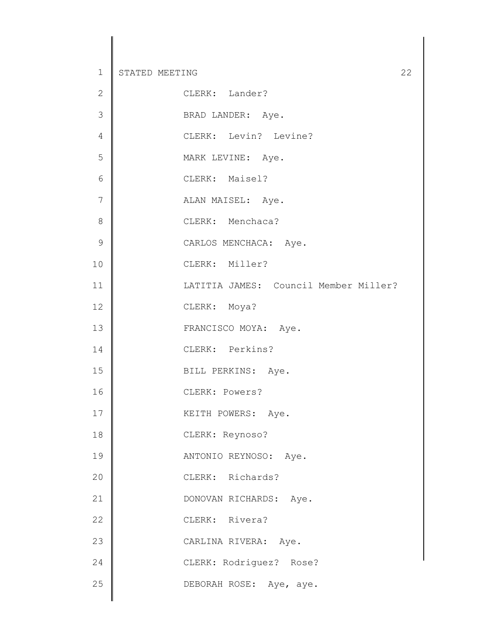| $\mathbf{2}$   | CLERK: Lander?                        |
|----------------|---------------------------------------|
| 3              | BRAD LANDER: Aye.                     |
| $\sqrt{4}$     | CLERK: Levin? Levine?                 |
| 5              | MARK LEVINE: Aye.                     |
| $6\,$          | CLERK: Maisel?                        |
| $\overline{7}$ | ALAN MAISEL: Aye.                     |
| $\,8\,$        | CLERK: Menchaca?                      |
| $\mathcal{G}$  | CARLOS MENCHACA: Aye.                 |
| 10             | CLERK: Miller?                        |
| 11             | LATITIA JAMES: Council Member Miller? |
| 12             | CLERK: Moya?                          |
| 13             | FRANCISCO MOYA: Aye.                  |
| 14             | CLERK: Perkins?                       |
| 15             | BILL PERKINS: Aye.                    |
| 16             | CLERK: Powers?                        |
| 17             | KEITH POWERS: Aye.                    |
| 18             | CLERK: Reynoso?                       |
| 19             | ANTONIO REYNOSO: Aye.                 |
| 20             | CLERK: Richards?                      |
| 21             | DONOVAN RICHARDS: Aye.                |
| 22             | CLERK: Rivera?                        |
| 23             | CARLINA RIVERA: Aye.                  |
| 24             | CLERK: Rodriguez? Rose?               |
| 25             | DEBORAH ROSE: Aye, aye.               |
|                |                                       |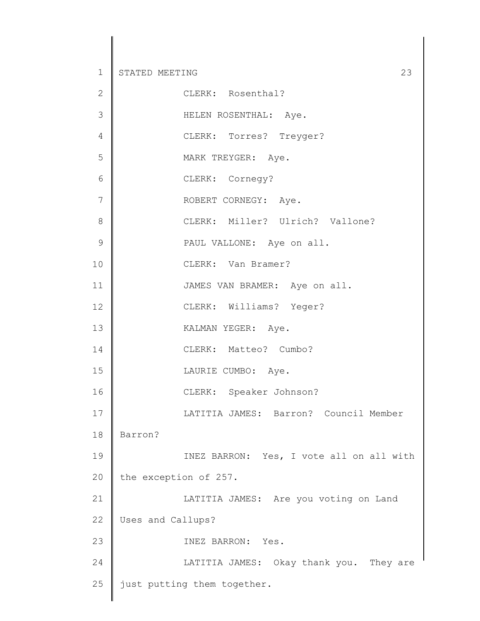| $\mathbf{2}$  | CLERK: Rosenthal?                        |
|---------------|------------------------------------------|
| 3             | HELEN ROSENTHAL: Aye.                    |
| 4             | CLERK: Torres? Treyger?                  |
| 5             | MARK TREYGER: Aye.                       |
| 6             | CLERK: Cornegy?                          |
| 7             | ROBERT CORNEGY: Aye.                     |
| 8             | CLERK: Miller? Ulrich? Vallone?          |
| $\mathcal{G}$ | PAUL VALLONE: Aye on all.                |
| 10            | CLERK: Van Bramer?                       |
| 11            | JAMES VAN BRAMER: Aye on all.            |
| 12            | CLERK: Williams? Yeger?                  |
| 13            | KALMAN YEGER: Aye.                       |
| 14            | CLERK: Matteo? Cumbo?                    |
| 15            | LAURIE CUMBO: Aye.                       |
| 16            | CLERK: Speaker Johnson?                  |
| 17            | LATITIA JAMES: Barron? Council Member    |
| 18            | Barron?                                  |
| 19            | INEZ BARRON: Yes, I vote all on all with |
| 20            | the exception of 257.                    |
| 21            | LATITIA JAMES: Are you voting on Land    |
| 22            | Uses and Callups?                        |
| 23            | INEZ BARRON: Yes.                        |
| 24            | LATITIA JAMES: Okay thank you. They are  |
| 25            | just putting them together.              |
|               |                                          |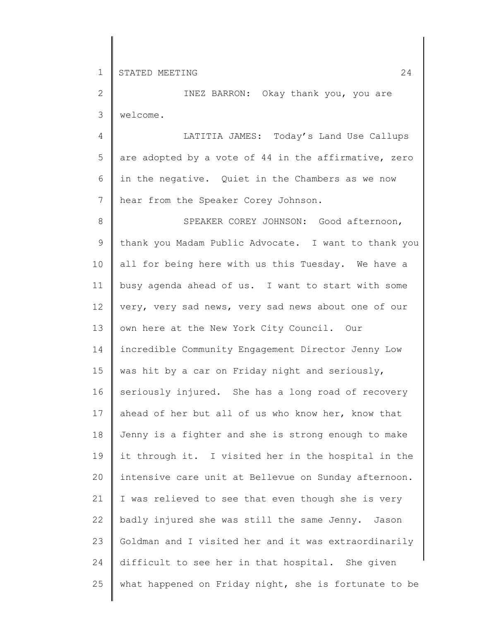2 3 INEZ BARRON: Okay thank you, you are welcome.

4 5 6 7 LATITIA JAMES: Today's Land Use Callups are adopted by a vote of 44 in the affirmative, zero in the negative. Quiet in the Chambers as we now hear from the Speaker Corey Johnson.

8 9 10 11 12 13 14 15 16 17 18 19 20 21 22 23 24 25 SPEAKER COREY JOHNSON: Good afternoon, thank you Madam Public Advocate. I want to thank you all for being here with us this Tuesday. We have a busy agenda ahead of us. I want to start with some very, very sad news, very sad news about one of our own here at the New York City Council. Our incredible Community Engagement Director Jenny Low was hit by a car on Friday night and seriously, seriously injured. She has a long road of recovery ahead of her but all of us who know her, know that Jenny is a fighter and she is strong enough to make it through it. I visited her in the hospital in the intensive care unit at Bellevue on Sunday afternoon. I was relieved to see that even though she is very badly injured she was still the same Jenny. Jason Goldman and I visited her and it was extraordinarily difficult to see her in that hospital. She given what happened on Friday night, she is fortunate to be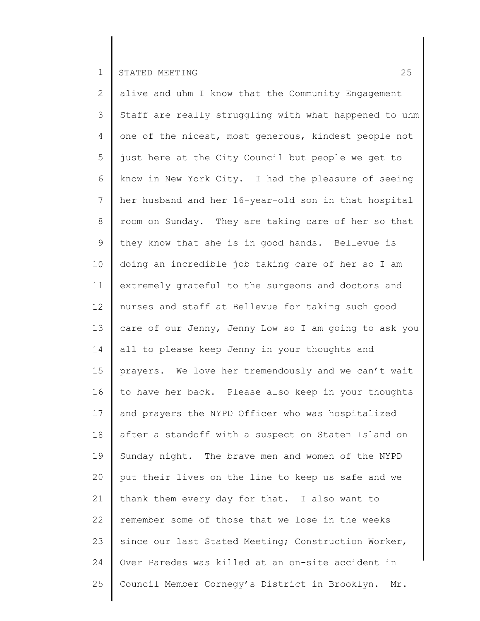2 3 4 5 6 7 8 9 10 11 12 13 14 15 16 17 18 19 20 21 22 23 24 25 alive and uhm I know that the Community Engagement Staff are really struggling with what happened to uhm one of the nicest, most generous, kindest people not just here at the City Council but people we get to know in New York City. I had the pleasure of seeing her husband and her 16-year-old son in that hospital room on Sunday. They are taking care of her so that they know that she is in good hands. Bellevue is doing an incredible job taking care of her so I am extremely grateful to the surgeons and doctors and nurses and staff at Bellevue for taking such good care of our Jenny, Jenny Low so I am going to ask you all to please keep Jenny in your thoughts and prayers. We love her tremendously and we can't wait to have her back. Please also keep in your thoughts and prayers the NYPD Officer who was hospitalized after a standoff with a suspect on Staten Island on Sunday night. The brave men and women of the NYPD put their lives on the line to keep us safe and we thank them every day for that. I also want to remember some of those that we lose in the weeks since our last Stated Meeting; Construction Worker, Over Paredes was killed at an on-site accident in Council Member Cornegy's District in Brooklyn. Mr.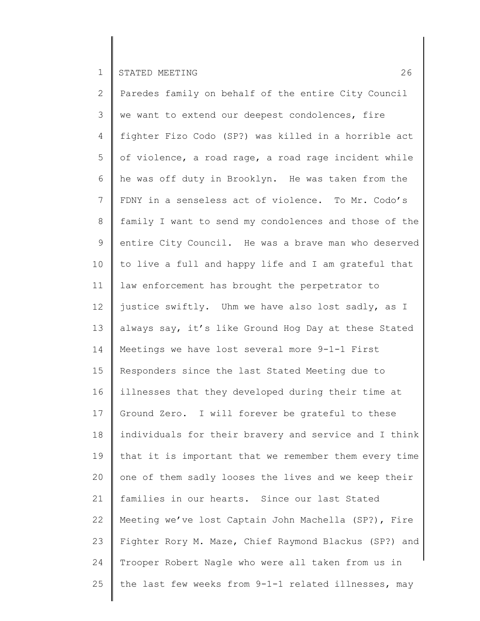2 3 4 5 6 7 8 9 10 11 12 13 14 15 16 17 18 19 20 21 22 23 24 25 Paredes family on behalf of the entire City Council we want to extend our deepest condolences, fire fighter Fizo Codo (SP?) was killed in a horrible act of violence, a road rage, a road rage incident while he was off duty in Brooklyn. He was taken from the FDNY in a senseless act of violence. To Mr. Codo's family I want to send my condolences and those of the entire City Council. He was a brave man who deserved to live a full and happy life and I am grateful that law enforcement has brought the perpetrator to justice swiftly. Uhm we have also lost sadly, as I always say, it's like Ground Hog Day at these Stated Meetings we have lost several more 9-1-1 First Responders since the last Stated Meeting due to illnesses that they developed during their time at Ground Zero. I will forever be grateful to these individuals for their bravery and service and I think that it is important that we remember them every time one of them sadly looses the lives and we keep their families in our hearts. Since our last Stated Meeting we've lost Captain John Machella (SP?), Fire Fighter Rory M. Maze, Chief Raymond Blackus (SP?) and Trooper Robert Nagle who were all taken from us in the last few weeks from 9-1-1 related illnesses, may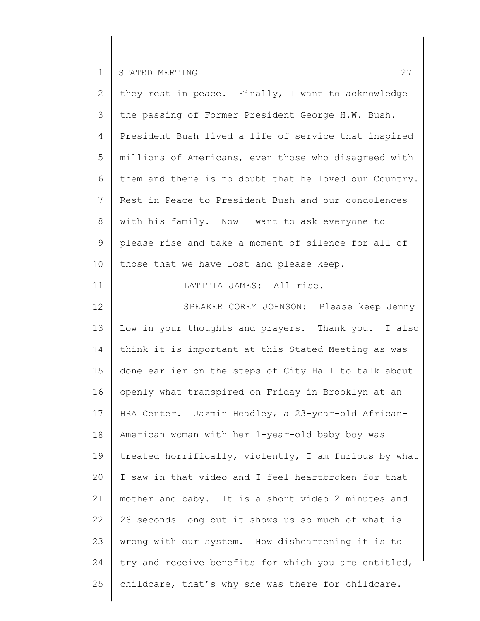| $\overline{2}$  | they rest in peace. Finally, I want to acknowledge    |
|-----------------|-------------------------------------------------------|
| 3               | the passing of Former President George H.W. Bush.     |
| $\overline{4}$  | President Bush lived a life of service that inspired  |
| 5               | millions of Americans, even those who disagreed with  |
| 6               | them and there is no doubt that he loved our Country. |
| $7\phantom{.0}$ | Rest in Peace to President Bush and our condolences   |
| 8               | with his family. Now I want to ask everyone to        |
| 9               | please rise and take a moment of silence for all of   |
| 10              | those that we have lost and please keep.              |
| 11              | LATITIA JAMES: All rise.                              |
| 12              | SPEAKER COREY JOHNSON: Please keep Jenny              |
| 13              | Low in your thoughts and prayers. Thank you. I also   |
| 14              | think it is important at this Stated Meeting as was   |
| 15              | done earlier on the steps of City Hall to talk about  |
| 16              | openly what transpired on Friday in Brooklyn at an    |
| 17              | HRA Center. Jazmin Headley, a 23-year-old African-    |
| 18              | American woman with her 1-year-old baby boy was       |
| 19              | treated horrifically, violently, I am furious by what |
| 20              | I saw in that video and I feel heartbroken for that   |
| 21              | mother and baby. It is a short video 2 minutes and    |
| 22              | 26 seconds long but it shows us so much of what is    |
| 23              | wrong with our system. How disheartening it is to     |
| 24              | try and receive benefits for which you are entitled,  |
| 25              | childcare, that's why she was there for childcare.    |
|                 |                                                       |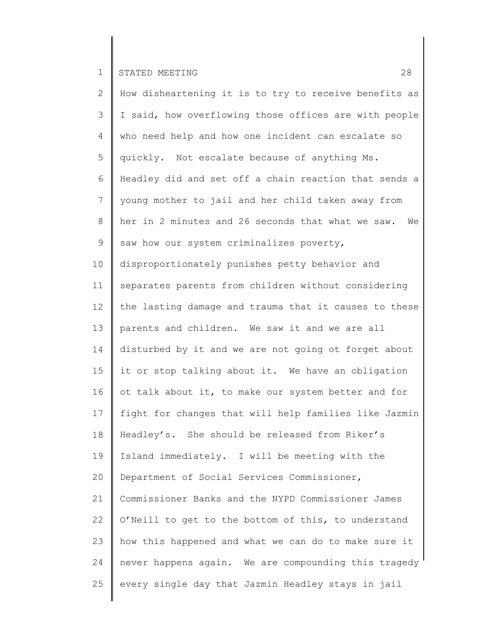2 3 4 5 6 7 8 9 10 11 12 13 14 15 16 17 18 19 20 21 22 23 24 25 How disheartening it is to try to receive benefits as I said, how overflowing those offices are with people who need help and how one incident can escalate so quickly. Not escalate because of anything Ms. Headley did and set off a chain reaction that sends a young mother to jail and her child taken away from her in 2 minutes and 26 seconds that what we saw. We saw how our system criminalizes poverty, disproportionately punishes petty behavior and separates parents from children without considering the lasting damage and trauma that it causes to these parents and children. We saw it and we are all disturbed by it and we are not going ot forget about it or stop talking about it. We have an obligation ot talk about it, to make our system better and for fight for changes that will help families like Jazmin Headley's. She should be released from Riker's Island immediately. I will be meeting with the Department of Social Services Commissioner, Commissioner Banks and the NYPD Commissioner James O'Neill to get to the bottom of this, to understand how this happened and what we can do to make sure it never happens again. We are compounding this tragedy every single day that Jazmin Headley stays in jail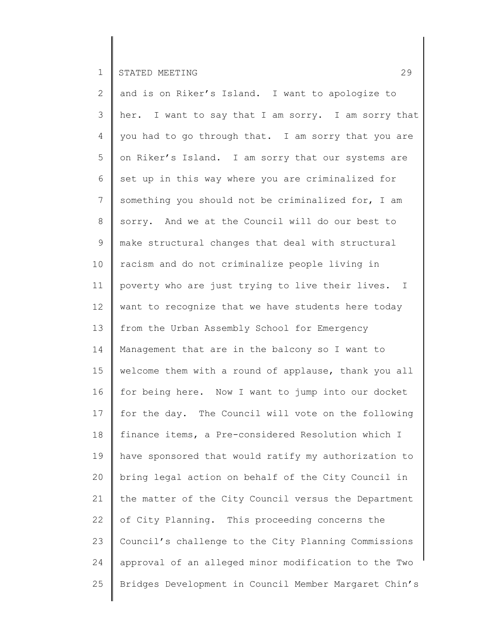2 3 4 5 6 7 8 9 10 11 12 13 14 15 16 17 18 19 20 21 22 23 24 25 and is on Riker's Island. I want to apologize to her. I want to say that I am sorry. I am sorry that you had to go through that. I am sorry that you are on Riker's Island. I am sorry that our systems are set up in this way where you are criminalized for something you should not be criminalized for, I am sorry. And we at the Council will do our best to make structural changes that deal with structural racism and do not criminalize people living in poverty who are just trying to live their lives. I want to recognize that we have students here today from the Urban Assembly School for Emergency Management that are in the balcony so I want to welcome them with a round of applause, thank you all for being here. Now I want to jump into our docket for the day. The Council will vote on the following finance items, a Pre-considered Resolution which I have sponsored that would ratify my authorization to bring legal action on behalf of the City Council in the matter of the City Council versus the Department of City Planning. This proceeding concerns the Council's challenge to the City Planning Commissions approval of an alleged minor modification to the Two Bridges Development in Council Member Margaret Chin's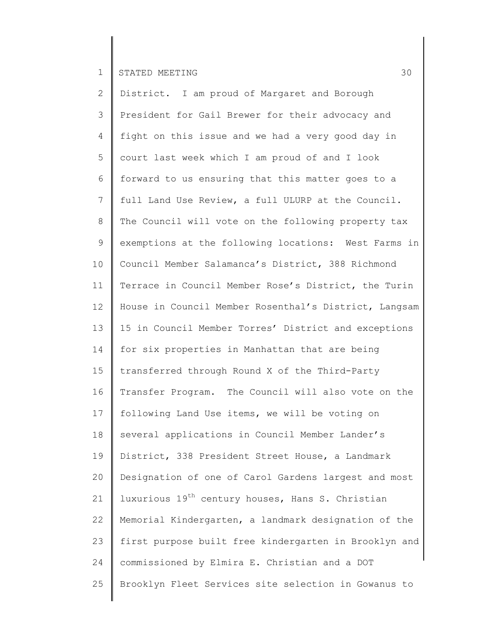2 3 4 5 6 7 8 9 10 11 12 13 14 15 16 17 18 19 20 21 22 23 24 25 District. I am proud of Margaret and Borough President for Gail Brewer for their advocacy and fight on this issue and we had a very good day in court last week which I am proud of and I look forward to us ensuring that this matter goes to a full Land Use Review, a full ULURP at the Council. The Council will vote on the following property tax exemptions at the following locations: West Farms in Council Member Salamanca's District, 388 Richmond Terrace in Council Member Rose's District, the Turin House in Council Member Rosenthal's District, Langsam 15 in Council Member Torres' District and exceptions for six properties in Manhattan that are being transferred through Round X of the Third-Party Transfer Program. The Council will also vote on the following Land Use items, we will be voting on several applications in Council Member Lander's District, 338 President Street House, a Landmark Designation of one of Carol Gardens largest and most luxurious 19th century houses, Hans S. Christian Memorial Kindergarten, a landmark designation of the first purpose built free kindergarten in Brooklyn and commissioned by Elmira E. Christian and a DOT Brooklyn Fleet Services site selection in Gowanus to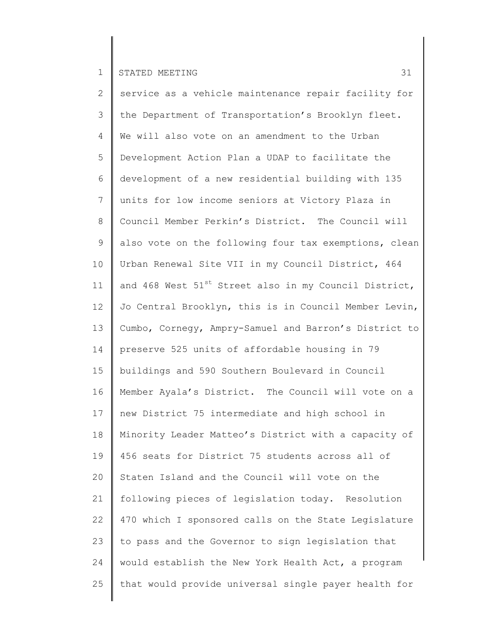2 3 4 5 6 7 8 9 10 11 12 13 14 15 16 17 18 19 20 21 22 23 24 25 service as a vehicle maintenance repair facility for the Department of Transportation's Brooklyn fleet. We will also vote on an amendment to the Urban Development Action Plan a UDAP to facilitate the development of a new residential building with 135 units for low income seniors at Victory Plaza in Council Member Perkin's District. The Council will also vote on the following four tax exemptions, clean Urban Renewal Site VII in my Council District, 464 and 468 West  $51^{st}$  Street also in my Council District, Jo Central Brooklyn, this is in Council Member Levin, Cumbo, Cornegy, Ampry-Samuel and Barron's District to preserve 525 units of affordable housing in 79 buildings and 590 Southern Boulevard in Council Member Ayala's District. The Council will vote on a new District 75 intermediate and high school in Minority Leader Matteo's District with a capacity of 456 seats for District 75 students across all of Staten Island and the Council will vote on the following pieces of legislation today. Resolution 470 which I sponsored calls on the State Legislature to pass and the Governor to sign legislation that would establish the New York Health Act, a program that would provide universal single payer health for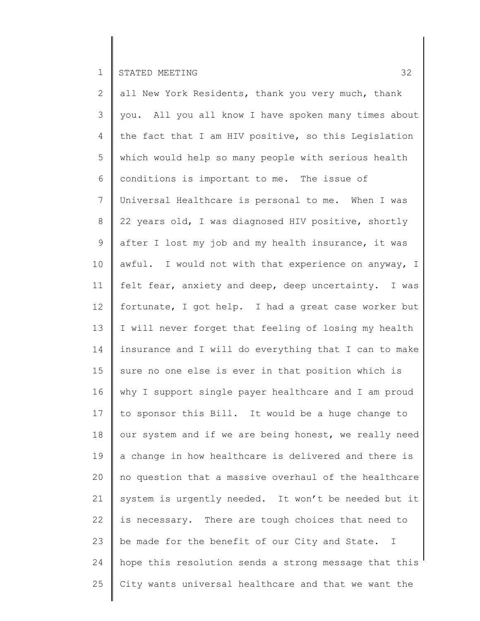2 3 4 5 6 7 8 9 10 11 12 13 14 15 16 17 18 19 20 21 22 23 24 25 all New York Residents, thank you very much, thank you. All you all know I have spoken many times about the fact that I am HIV positive, so this Legislation which would help so many people with serious health conditions is important to me. The issue of Universal Healthcare is personal to me. When I was 22 years old, I was diagnosed HIV positive, shortly after I lost my job and my health insurance, it was awful. I would not with that experience on anyway, I felt fear, anxiety and deep, deep uncertainty. I was fortunate, I got help. I had a great case worker but I will never forget that feeling of losing my health insurance and I will do everything that I can to make sure no one else is ever in that position which is why I support single payer healthcare and I am proud to sponsor this Bill. It would be a huge change to our system and if we are being honest, we really need a change in how healthcare is delivered and there is no question that a massive overhaul of the healthcare system is urgently needed. It won't be needed but it is necessary. There are tough choices that need to be made for the benefit of our City and State. I hope this resolution sends a strong message that this City wants universal healthcare and that we want the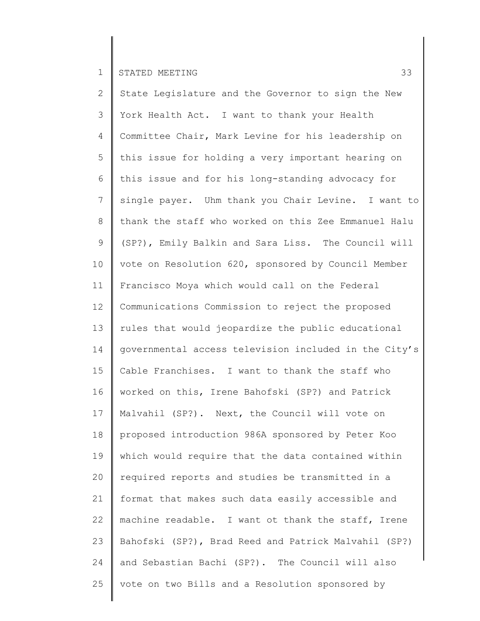2 3 4 5 6 7 8 9 10 11 12 13 14 15 16 17 18 19 20 21 22 23 24 25 State Legislature and the Governor to sign the New York Health Act. I want to thank your Health Committee Chair, Mark Levine for his leadership on this issue for holding a very important hearing on this issue and for his long-standing advocacy for single payer. Uhm thank you Chair Levine. I want to thank the staff who worked on this Zee Emmanuel Halu (SP?), Emily Balkin and Sara Liss. The Council will vote on Resolution 620, sponsored by Council Member Francisco Moya which would call on the Federal Communications Commission to reject the proposed rules that would jeopardize the public educational governmental access television included in the City's Cable Franchises. I want to thank the staff who worked on this, Irene Bahofski (SP?) and Patrick Malvahil (SP?). Next, the Council will vote on proposed introduction 986A sponsored by Peter Koo which would require that the data contained within required reports and studies be transmitted in a format that makes such data easily accessible and machine readable. I want ot thank the staff, Irene Bahofski (SP?), Brad Reed and Patrick Malvahil (SP?) and Sebastian Bachi (SP?). The Council will also vote on two Bills and a Resolution sponsored by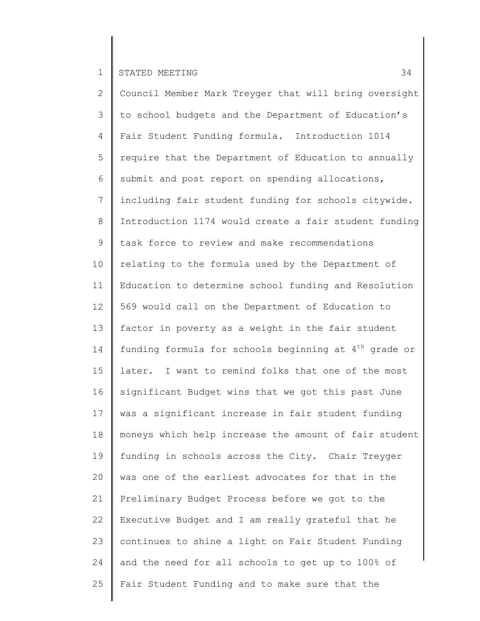2 3 4 5 6 7 8 9 10 11 12 13 14 15 16 17 18 19 20 21 22 23 24 25 Council Member Mark Treyger that will bring oversight to school budgets and the Department of Education's Fair Student Funding formula. Introduction 1014 require that the Department of Education to annually submit and post report on spending allocations, including fair student funding for schools citywide. Introduction 1174 would create a fair student funding task force to review and make recommendations relating to the formula used by the Department of Education to determine school funding and Resolution 569 would call on the Department of Education to factor in poverty as a weight in the fair student funding formula for schools beginning at  $4<sup>th</sup>$  grade or later. I want to remind folks that one of the most significant Budget wins that we got this past June was a significant increase in fair student funding moneys which help increase the amount of fair student funding in schools across the City. Chair Treyger was one of the earliest advocates for that in the Preliminary Budget Process before we got to the Executive Budget and I am really grateful that he continues to shine a light on Fair Student Funding and the need for all schools to get up to 100% of Fair Student Funding and to make sure that the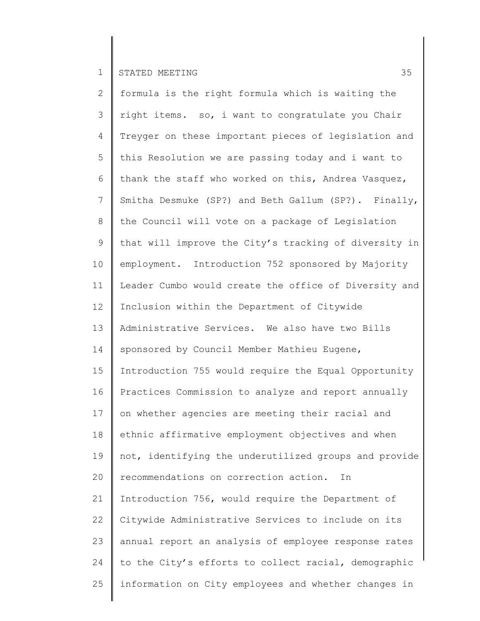2 3 4 5 6 7 8 9 10 11 12 13 14 15 16 17 18 19 20 21 22 23 24 25 formula is the right formula which is waiting the right items. so, i want to congratulate you Chair Treyger on these important pieces of legislation and this Resolution we are passing today and i want to thank the staff who worked on this, Andrea Vasquez, Smitha Desmuke (SP?) and Beth Gallum (SP?). Finally, the Council will vote on a package of Legislation that will improve the City's tracking of diversity in employment. Introduction 752 sponsored by Majority Leader Cumbo would create the office of Diversity and Inclusion within the Department of Citywide Administrative Services. We also have two Bills sponsored by Council Member Mathieu Eugene, Introduction 755 would require the Equal Opportunity Practices Commission to analyze and report annually on whether agencies are meeting their racial and ethnic affirmative employment objectives and when not, identifying the underutilized groups and provide recommendations on correction action. In Introduction 756, would require the Department of Citywide Administrative Services to include on its annual report an analysis of employee response rates to the City's efforts to collect racial, demographic information on City employees and whether changes in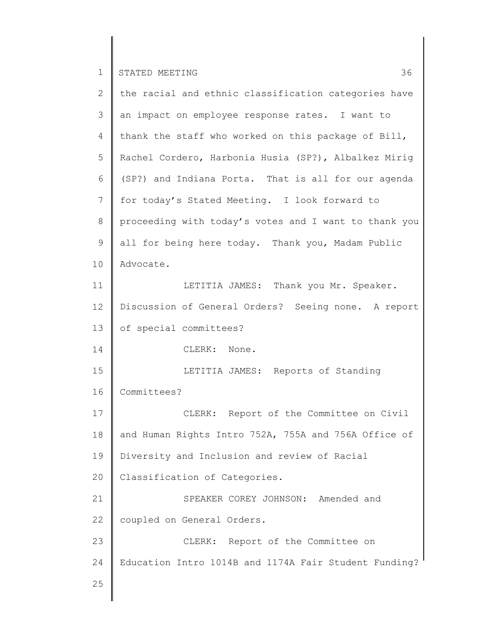| $\overline{2}$ | the racial and ethnic classification categories have  |
|----------------|-------------------------------------------------------|
| 3              | an impact on employee response rates. I want to       |
| 4              | thank the staff who worked on this package of Bill,   |
| 5              | Rachel Cordero, Harbonia Husia (SP?), Albalkez Mirig  |
| 6              | (SP?) and Indiana Porta. That is all for our agenda   |
| 7              | for today's Stated Meeting. I look forward to         |
| 8              | proceeding with today's votes and I want to thank you |
| 9              | all for being here today. Thank you, Madam Public     |
| 10             | Advocate.                                             |
| 11             | LETITIA JAMES: Thank you Mr. Speaker.                 |
| 12             | Discussion of General Orders? Seeing none. A report   |
| 13             | of special committees?                                |
| 14             | CLERK: None.                                          |
| 15             | LETITIA JAMES: Reports of Standing                    |
| 16             | Committees?                                           |
| 17             | CLERK: Report of the Committee on Civil               |
| 18             | and Human Rights Intro 752A, 755A and 756A Office of  |
| 19             | Diversity and Inclusion and review of Racial          |
| 20             | Classification of Categories.                         |
| 21             | SPEAKER COREY JOHNSON: Amended and                    |
| 22             | coupled on General Orders.                            |
| 23             | CLERK: Report of the Committee on                     |
| 24             | Education Intro 1014B and 1174A Fair Student Funding? |
| 25             |                                                       |
|                |                                                       |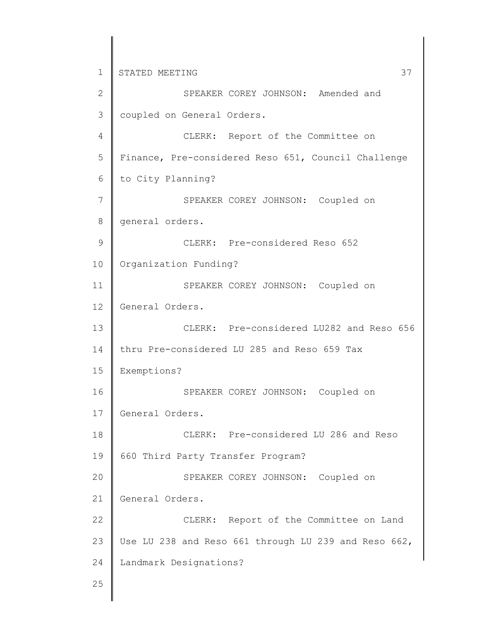1 2 3 4 5 6 7 8 9 10 11 12 13 14 15 16 17 18 19 20 21 22 23 24 25 STATED MEETING 37 SPEAKER COREY JOHNSON: Amended and coupled on General Orders. CLERK: Report of the Committee on Finance, Pre-considered Reso 651, Council Challenge to City Planning? SPEAKER COREY JOHNSON: Coupled on general orders. CLERK: Pre-considered Reso 652 Organization Funding? SPEAKER COREY JOHNSON: Coupled on General Orders. CLERK: Pre-considered LU282 and Reso 656 thru Pre-considered LU 285 and Reso 659 Tax Exemptions? SPEAKER COREY JOHNSON: Coupled on General Orders. CLERK: Pre-considered LU 286 and Reso 660 Third Party Transfer Program? SPEAKER COREY JOHNSON: Coupled on General Orders. CLERK: Report of the Committee on Land Use LU 238 and Reso 661 through LU 239 and Reso 662, Landmark Designations?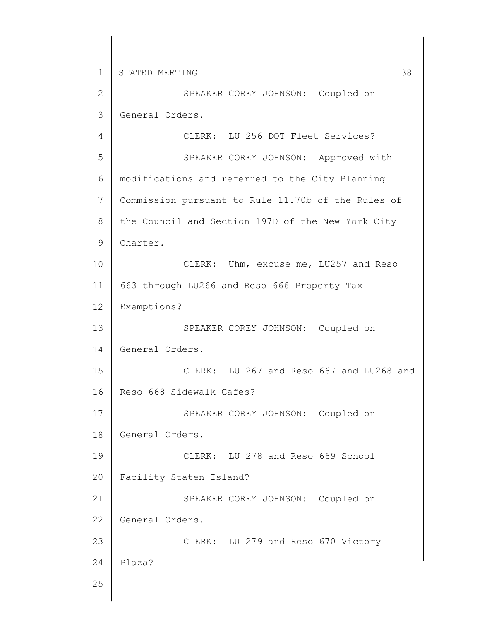2 3 SPEAKER COREY JOHNSON: Coupled on General Orders.

4 5 6 7 8 9 10 11 12 13 14 15 16 17 18 19 20 21 22 23 24 25 CLERK: LU 256 DOT Fleet Services? SPEAKER COREY JOHNSON: Approved with modifications and referred to the City Planning Commission pursuant to Rule 11.70b of the Rules of the Council and Section 197D of the New York City Charter. CLERK: Uhm, excuse me, LU257 and Reso 663 through LU266 and Reso 666 Property Tax Exemptions? SPEAKER COREY JOHNSON: Coupled on General Orders. CLERK: LU 267 and Reso 667 and LU268 and Reso 668 Sidewalk Cafes? SPEAKER COREY JOHNSON: Coupled on General Orders. CLERK: LU 278 and Reso 669 School Facility Staten Island? SPEAKER COREY JOHNSON: Coupled on General Orders. CLERK: LU 279 and Reso 670 Victory Plaza?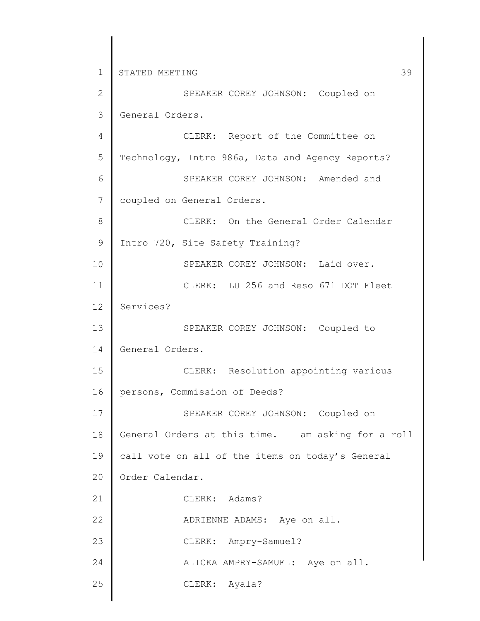1 2 3 4 5 6 7 8 9 10 11 12 13 14 15 16 17 18 19 20 21 22 23 24 25 STATED MEETING 39 SPEAKER COREY JOHNSON: Coupled on General Orders. CLERK: Report of the Committee on Technology, Intro 986a, Data and Agency Reports? SPEAKER COREY JOHNSON: Amended and coupled on General Orders. CLERK: On the General Order Calendar Intro 720, Site Safety Training? SPEAKER COREY JOHNSON: Laid over. CLERK: LU 256 and Reso 671 DOT Fleet Services? SPEAKER COREY JOHNSON: Coupled to General Orders. CLERK: Resolution appointing various persons, Commission of Deeds? SPEAKER COREY JOHNSON: Coupled on General Orders at this time. I am asking for a roll call vote on all of the items on today's General Order Calendar. CLERK: Adams? ADRIENNE ADAMS: Aye on all. CLERK: Ampry-Samuel? ALICKA AMPRY-SAMUEL: Aye on all. CLERK: Ayala?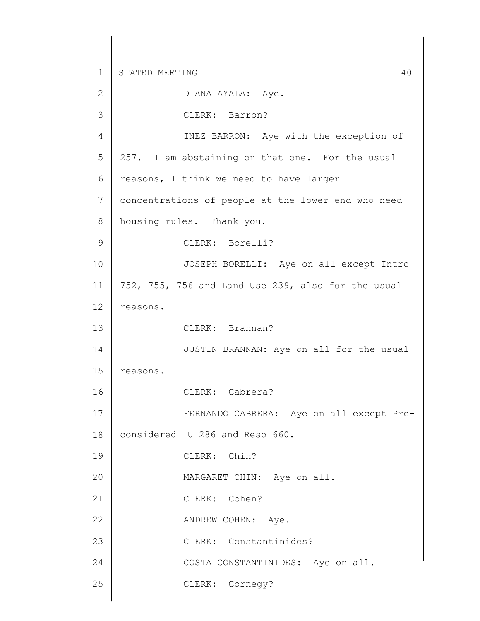| $\mathbf{2}$  | DIANA AYALA: Aye.                                  |
|---------------|----------------------------------------------------|
| 3             | CLERK: Barron?                                     |
| 4             | INEZ BARRON: Aye with the exception of             |
| 5             | 257. I am abstaining on that one. For the usual    |
| 6             | reasons, I think we need to have larger            |
| 7             | concentrations of people at the lower end who need |
| 8             | housing rules. Thank you.                          |
| $\mathcal{G}$ | CLERK: Borelli?                                    |
| 10            | JOSEPH BORELLI: Aye on all except Intro            |
| 11            | 752, 755, 756 and Land Use 239, also for the usual |
| 12            | reasons.                                           |
| 13            | CLERK: Brannan?                                    |
| 14            | JUSTIN BRANNAN: Aye on all for the usual           |
| 15            | reasons.                                           |
| 16            | CLERK: Cabrera?                                    |
| 17            | FERNANDO CABRERA: Aye on all except Pre-           |
| 18            | considered LU 286 and Reso 660.                    |
| 19            | CLERK: Chin?                                       |
| 20            | MARGARET CHIN: Aye on all.                         |
| 21            | CLERK: Cohen?                                      |
| 22            | ANDREW COHEN: Aye.                                 |
| 23            | CLERK: Constantinides?                             |
| 24            | COSTA CONSTANTINIDES: Aye on all.                  |
| 25            | CLERK: Cornegy?                                    |
|               |                                                    |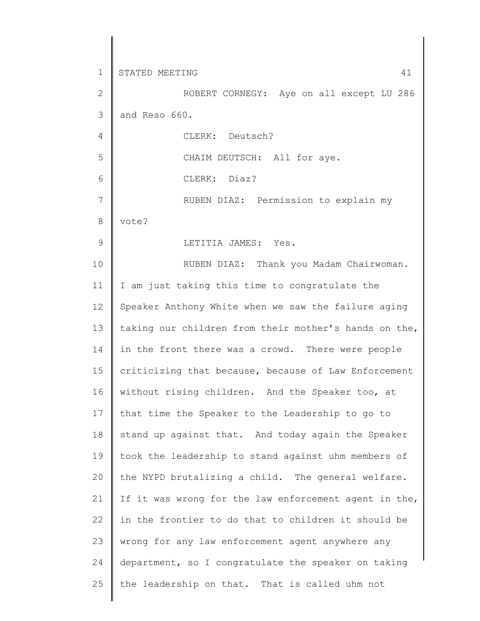1 2 3 4 5 6 7 8 9 10 11 12 13 14 15 16 17 18 19 20 21 22 23 24 25 STATED MEETING 41 ROBERT CORNEGY: Aye on all except LU 286 and Reso 660. CLERK: Deutsch? CHAIM DEUTSCH: All for aye. CLERK: Diaz? RUBEN DIAZ: Permission to explain my vote? LETITIA JAMES: Yes. RUBEN DIAZ: Thank you Madam Chairwoman. I am just taking this time to congratulate the Speaker Anthony White when we saw the failure aging taking our children from their mother's hands on the, in the front there was a crowd. There were people criticizing that because, because of Law Enforcement without rising children. And the Speaker too, at that time the Speaker to the Leadership to go to stand up against that. And today again the Speaker took the leadership to stand against uhm members of the NYPD brutalizing a child. The general welfare. If it was wrong for the law enforcement agent in the, in the frontier to do that to children it should be wrong for any law enforcement agent anywhere any department, so I congratulate the speaker on taking the leadership on that. That is called uhm not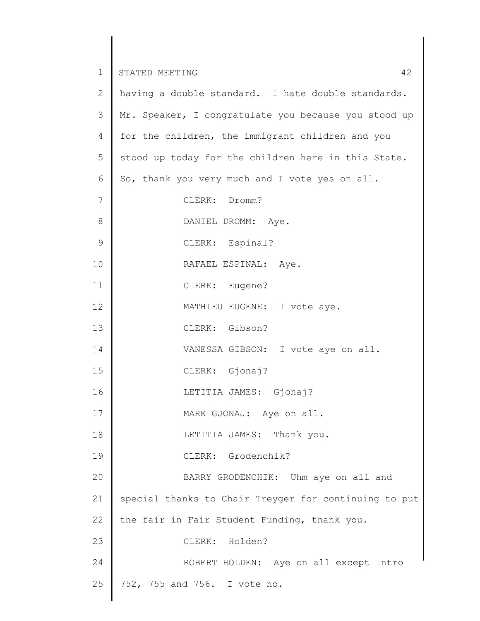| $\overline{2}$ | having a double standard. I hate double standards.    |
|----------------|-------------------------------------------------------|
| 3              | Mr. Speaker, I congratulate you because you stood up  |
| $\overline{4}$ | for the children, the immigrant children and you      |
| 5              | stood up today for the children here in this State.   |
| 6              | So, thank you very much and I vote yes on all.        |
| 7              | CLERK: Dromm?                                         |
| $8\,$          | DANIEL DROMM: Aye.                                    |
| $\mathcal{G}$  | CLERK: Espinal?                                       |
| 10             | RAFAEL ESPINAL: Aye.                                  |
| 11             | CLERK: Eugene?                                        |
| 12             | MATHIEU EUGENE: I vote aye.                           |
| 13             | CLERK: Gibson?                                        |
| 14             | VANESSA GIBSON: I vote aye on all.                    |
| 15             | CLERK: Gjonaj?                                        |
| 16             | LETITIA JAMES: Gjonaj?                                |
| 17             | MARK GJONAJ: Aye on all.                              |
| 18             | LETITIA JAMES: Thank you.                             |
| 19             | CLERK: Grodenchik?                                    |
| 20             | BARRY GRODENCHIK: Uhm aye on all and                  |
| 21             | special thanks to Chair Treyger for continuing to put |
| 22             | the fair in Fair Student Funding, thank you.          |
| 23             | CLERK: Holden?                                        |
| 24             | ROBERT HOLDEN: Aye on all except Intro                |
| 25             | 752, 755 and 756. I vote no.                          |
|                |                                                       |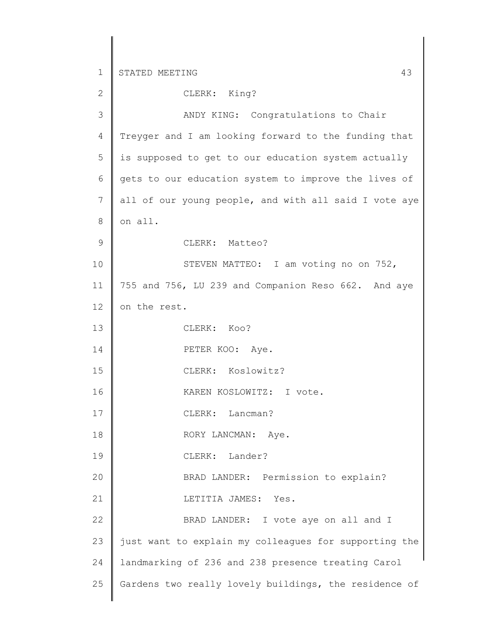1 2 3 4 5 6 7 8 9 10 11 12 13 14 15 16 17 18 19 20 21 22 23 24 25 STATED MEETING 43 CLERK: King? ANDY KING: Congratulations to Chair Treyger and I am looking forward to the funding that is supposed to get to our education system actually gets to our education system to improve the lives of all of our young people, and with all said I vote aye on all. CLERK: Matteo? STEVEN MATTEO: I am voting no on 752, 755 and 756, LU 239 and Companion Reso 662. And aye on the rest. CLERK: Koo? PETER KOO: Aye. CLERK: Koslowitz? KAREN KOSLOWITZ: I vote. CLERK: Lancman? RORY LANCMAN: Aye. CLERK: Lander? BRAD LANDER: Permission to explain? LETITIA JAMES: Yes. BRAD LANDER: I vote aye on all and I just want to explain my colleagues for supporting the landmarking of 236 and 238 presence treating Carol Gardens two really lovely buildings, the residence of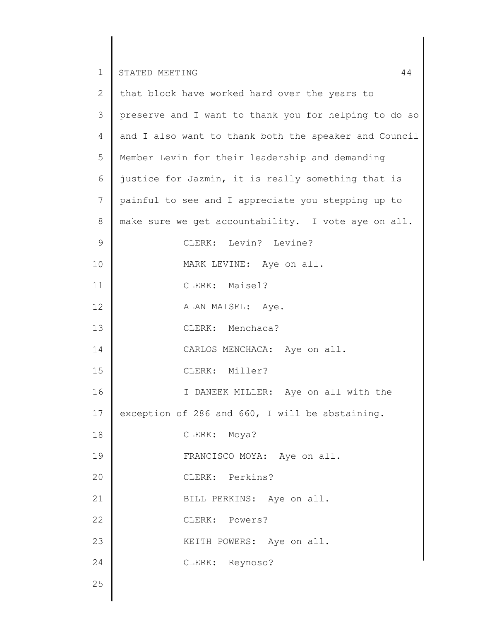| $\mathbf{2}^{\prime}$ | that block have worked hard over the years to         |
|-----------------------|-------------------------------------------------------|
| 3                     | preserve and I want to thank you for helping to do so |
| 4                     | and I also want to thank both the speaker and Council |
| 5                     | Member Levin for their leadership and demanding       |
| 6                     | justice for Jazmin, it is really something that is    |
| $7\phantom{.}$        | painful to see and I appreciate you stepping up to    |
| 8                     | make sure we get accountability. I vote aye on all.   |
| $\mathsf 9$           | CLERK: Levin? Levine?                                 |
| 10                    | MARK LEVINE: Aye on all.                              |
| 11                    | CLERK: Maisel?                                        |
| 12                    | ALAN MAISEL: Aye.                                     |
| 13                    | CLERK: Menchaca?                                      |
| 14                    | CARLOS MENCHACA: Aye on all.                          |
| 15                    | CLERK: Miller?                                        |
| 16                    | I DANEEK MILLER: Aye on all with the                  |
| 17                    | exception of 286 and 660, I will be abstaining.       |
| 18                    | CLERK: Moya?                                          |
| 19                    | FRANCISCO MOYA: Aye on all.                           |
| 20                    | CLERK: Perkins?                                       |
| 21                    | BILL PERKINS: Aye on all.                             |
| 22                    | CLERK: Powers?                                        |
| 23                    | KEITH POWERS: Aye on all.                             |
| 24                    | CLERK: Reynoso?                                       |
| 25                    |                                                       |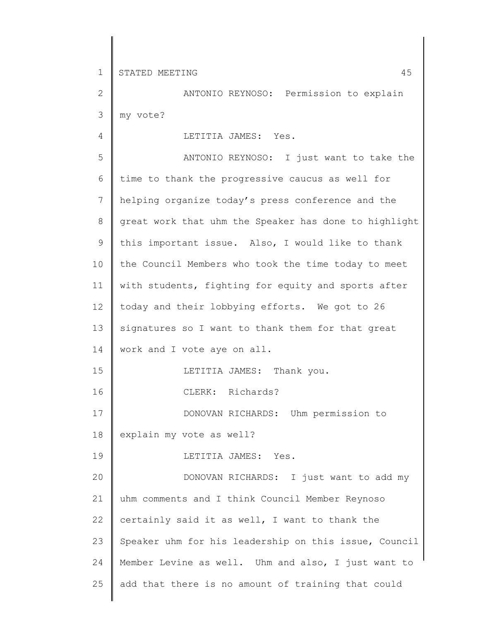4

2 3 ANTONIO REYNOSO: Permission to explain my vote?

LETITIA JAMES: Yes.

5 6 7 8 9 10 11 12 13 14 15 16 17 18 19 20 21 22 23 24 25 ANTONIO REYNOSO: I just want to take the time to thank the progressive caucus as well for helping organize today's press conference and the great work that uhm the Speaker has done to highlight this important issue. Also, I would like to thank the Council Members who took the time today to meet with students, fighting for equity and sports after today and their lobbying efforts. We got to 26 signatures so I want to thank them for that great work and I vote aye on all. LETITIA JAMES: Thank you. CLERK: Richards? DONOVAN RICHARDS: Uhm permission to explain my vote as well? LETITIA JAMES: Yes. DONOVAN RICHARDS: I just want to add my uhm comments and I think Council Member Reynoso certainly said it as well, I want to thank the Speaker uhm for his leadership on this issue, Council Member Levine as well. Uhm and also, I just want to add that there is no amount of training that could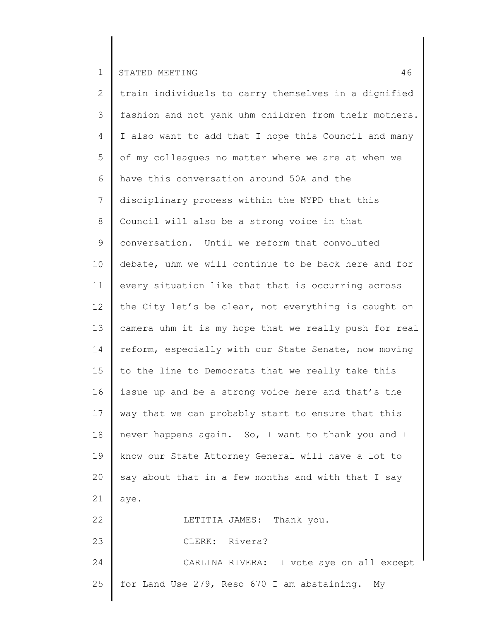2 3 4 5 6 7 8 9 10 11 12 13 14 15 16 17 18 19 20 21 22 23 24 25 train individuals to carry themselves in a dignified fashion and not yank uhm children from their mothers. I also want to add that I hope this Council and many of my colleagues no matter where we are at when we have this conversation around 50A and the disciplinary process within the NYPD that this Council will also be a strong voice in that conversation. Until we reform that convoluted debate, uhm we will continue to be back here and for every situation like that that is occurring across the City let's be clear, not everything is caught on camera uhm it is my hope that we really push for real reform, especially with our State Senate, now moving to the line to Democrats that we really take this issue up and be a strong voice here and that's the way that we can probably start to ensure that this never happens again. So, I want to thank you and I know our State Attorney General will have a lot to say about that in a few months and with that I say aye. LETITIA JAMES: Thank you. CLERK: Rivera? CARLINA RIVERA: I vote aye on all except for Land Use 279, Reso 670 I am abstaining. My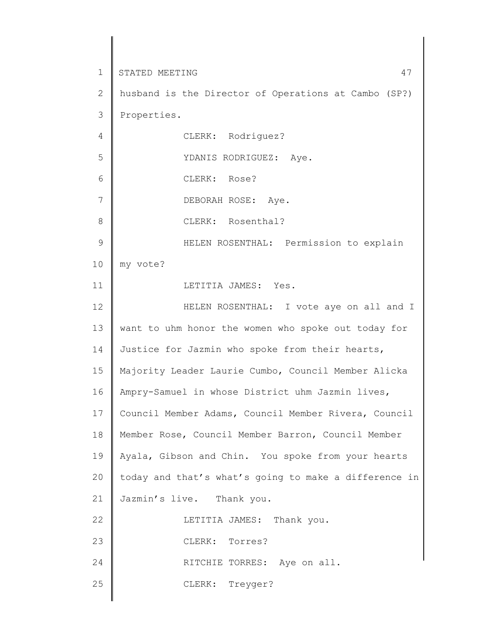1 2 3 4 5 6 7 8 9 10 11 12 13 14 15 16 17 18 19 20 21 22 23 24 25 STATED MEETING  $47$ husband is the Director of Operations at Cambo (SP?) Properties. CLERK: Rodriguez? YDANIS RODRIGUEZ: Aye. CLERK: Rose? DEBORAH ROSE: Aye. CLERK: Rosenthal? HELEN ROSENTHAL: Permission to explain my vote? LETITIA JAMES: Yes. HELEN ROSENTHAL: I vote aye on all and I want to uhm honor the women who spoke out today for Justice for Jazmin who spoke from their hearts, Majority Leader Laurie Cumbo, Council Member Alicka Ampry-Samuel in whose District uhm Jazmin lives, Council Member Adams, Council Member Rivera, Council Member Rose, Council Member Barron, Council Member Ayala, Gibson and Chin. You spoke from your hearts today and that's what's going to make a difference in Jazmin's live. Thank you. LETITIA JAMES: Thank you. CLERK: Torres? RITCHIE TORRES: Aye on all. CLERK: Treyger?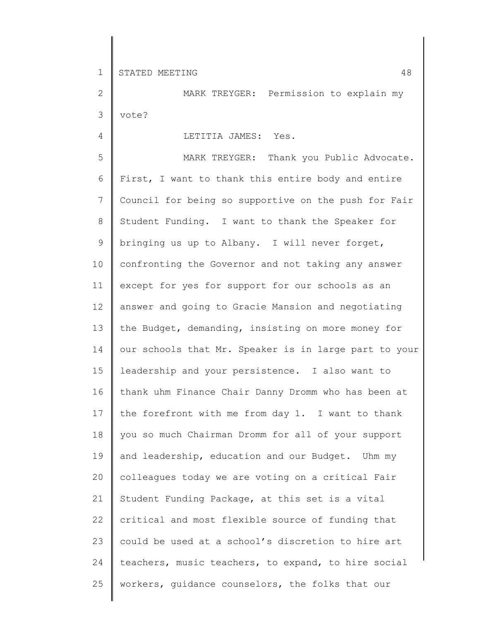4

2 3 MARK TREYGER: Permission to explain my vote?

# LETITIA JAMES: Yes.

5 6 7 8 9 10 11 12 13 14 15 16 17 18 19 20 21 22 23 24 25 MARK TREYGER: Thank you Public Advocate. First, I want to thank this entire body and entire Council for being so supportive on the push for Fair Student Funding. I want to thank the Speaker for bringing us up to Albany. I will never forget, confronting the Governor and not taking any answer except for yes for support for our schools as an answer and going to Gracie Mansion and negotiating the Budget, demanding, insisting on more money for our schools that Mr. Speaker is in large part to your leadership and your persistence. I also want to thank uhm Finance Chair Danny Dromm who has been at the forefront with me from day 1. I want to thank you so much Chairman Dromm for all of your support and leadership, education and our Budget. Uhm my colleagues today we are voting on a critical Fair Student Funding Package, at this set is a vital critical and most flexible source of funding that could be used at a school's discretion to hire art teachers, music teachers, to expand, to hire social workers, guidance counselors, the folks that our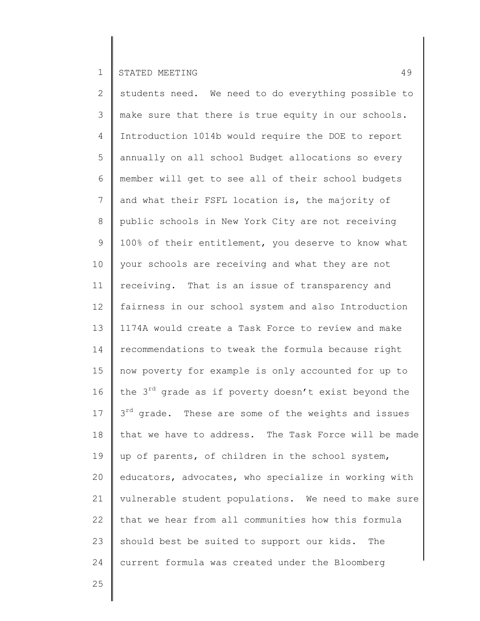2 3 4 5 6 7 8 9 10 11 12 13 14 15 16 17 18 19 20 21 22 23 24 students need. We need to do everything possible to make sure that there is true equity in our schools. Introduction 1014b would require the DOE to report annually on all school Budget allocations so every member will get to see all of their school budgets and what their FSFL location is, the majority of public schools in New York City are not receiving 100% of their entitlement, you deserve to know what your schools are receiving and what they are not receiving. That is an issue of transparency and fairness in our school system and also Introduction 1174A would create a Task Force to review and make recommendations to tweak the formula because right now poverty for example is only accounted for up to the  $3^{rd}$  grade as if poverty doesn't exist beyond the 3<sup>rd</sup> grade. These are some of the weights and issues that we have to address. The Task Force will be made up of parents, of children in the school system, educators, advocates, who specialize in working with vulnerable student populations. We need to make sure that we hear from all communities how this formula should best be suited to support our kids. The current formula was created under the Bloomberg

25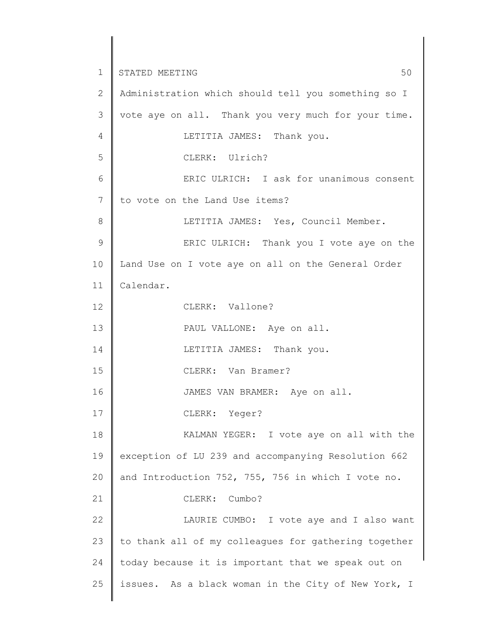1 2 3 4 5 6 7 8 9 10 11 12 13 14 15 16 17 18 19 20 21 22 23 24 25 STATED MEETING 50 Administration which should tell you something so I vote aye on all. Thank you very much for your time. LETITIA JAMES: Thank you. CLERK: Ulrich? ERIC ULRICH: I ask for unanimous consent to vote on the Land Use items? LETITIA JAMES: Yes, Council Member. ERIC ULRICH: Thank you I vote aye on the Land Use on I vote aye on all on the General Order Calendar. CLERK: Vallone? PAUL VALLONE: Aye on all. LETITIA JAMES: Thank you. CLERK: Van Bramer? JAMES VAN BRAMER: Aye on all. CLERK: Yeger? KALMAN YEGER: I vote aye on all with the exception of LU 239 and accompanying Resolution 662 and Introduction 752, 755, 756 in which I vote no. CLERK: Cumbo? LAURIE CUMBO: I vote aye and I also want to thank all of my colleagues for gathering together today because it is important that we speak out on issues. As a black woman in the City of New York, I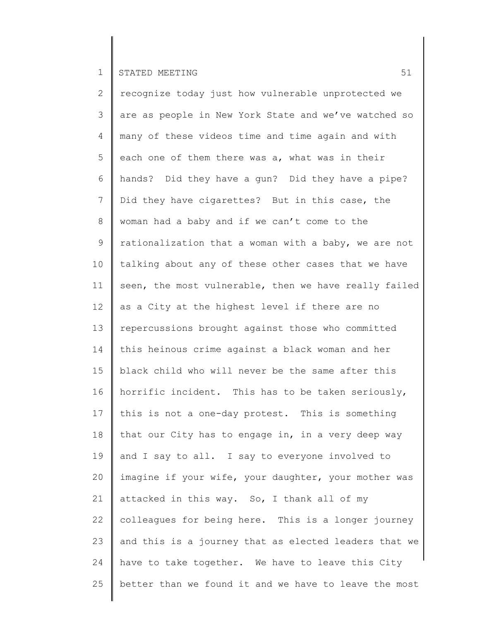2 3 4 5 6 7 8 9 10 11 12 13 14 15 16 17 18 19 20 21 22 23 24 25 recognize today just how vulnerable unprotected we are as people in New York State and we've watched so many of these videos time and time again and with each one of them there was a, what was in their hands? Did they have a gun? Did they have a pipe? Did they have cigarettes? But in this case, the woman had a baby and if we can't come to the rationalization that a woman with a baby, we are not talking about any of these other cases that we have seen, the most vulnerable, then we have really failed as a City at the highest level if there are no repercussions brought against those who committed this heinous crime against a black woman and her black child who will never be the same after this horrific incident. This has to be taken seriously, this is not a one-day protest. This is something that our City has to engage in, in a very deep way and I say to all. I say to everyone involved to imagine if your wife, your daughter, your mother was attacked in this way. So, I thank all of my colleagues for being here. This is a longer journey and this is a journey that as elected leaders that we have to take together. We have to leave this City better than we found it and we have to leave the most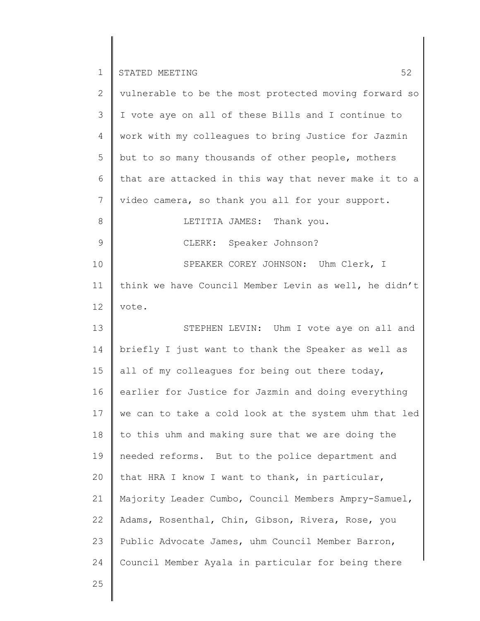| ◄<br><b>__</b> | I STATED MEETING |  |
|----------------|------------------|--|
|                |                  |  |

Π

| $\overline{2}$ | vulnerable to be the most protected moving forward so |
|----------------|-------------------------------------------------------|
| 3              | I vote aye on all of these Bills and I continue to    |
| 4              | work with my colleagues to bring Justice for Jazmin   |
| 5              | but to so many thousands of other people, mothers     |
| 6              | that are attacked in this way that never make it to a |
| 7              | video camera, so thank you all for your support.      |
| 8              | LETITIA JAMES: Thank you.                             |
| $\mathcal{G}$  | CLERK: Speaker Johnson?                               |
| 10             | SPEAKER COREY JOHNSON: Uhm Clerk, I                   |
| 11             | think we have Council Member Levin as well, he didn't |
| 12             | vote.                                                 |
| 13             | STEPHEN LEVIN: Uhm I vote aye on all and              |
| 14             | briefly I just want to thank the Speaker as well as   |
| 15             | all of my colleagues for being out there today,       |
| 16             | earlier for Justice for Jazmin and doing everything   |
| 17             | we can to take a cold look at the system uhm that led |
| 18             | to this uhm and making sure that we are doing the     |
| 19             | needed reforms. But to the police department and      |
| 20             | that HRA I know I want to thank, in particular,       |
| 21             | Majority Leader Cumbo, Council Members Ampry-Samuel,  |
| 22             | Adams, Rosenthal, Chin, Gibson, Rivera, Rose, you     |
| 23             | Public Advocate James, uhm Council Member Barron,     |
| 24             | Council Member Ayala in particular for being there    |
|                |                                                       |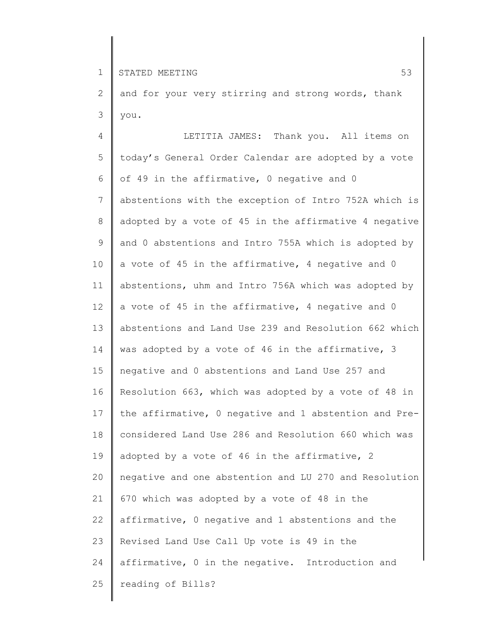2 3 and for your very stirring and strong words, thank you.

4 5 6 7 8 9 10 11 12 13 14 15 16 17 18 19 20 21 22 23 24 25 LETITIA JAMES: Thank you. All items on today's General Order Calendar are adopted by a vote of 49 in the affirmative, 0 negative and 0 abstentions with the exception of Intro 752A which is adopted by a vote of 45 in the affirmative 4 negative and 0 abstentions and Intro 755A which is adopted by a vote of 45 in the affirmative, 4 negative and 0 abstentions, uhm and Intro 756A which was adopted by a vote of 45 in the affirmative, 4 negative and 0 abstentions and Land Use 239 and Resolution 662 which was adopted by a vote of 46 in the affirmative, 3 negative and 0 abstentions and Land Use 257 and Resolution 663, which was adopted by a vote of 48 in the affirmative, 0 negative and 1 abstention and Preconsidered Land Use 286 and Resolution 660 which was adopted by a vote of 46 in the affirmative, 2 negative and one abstention and LU 270 and Resolution 670 which was adopted by a vote of 48 in the affirmative, 0 negative and 1 abstentions and the Revised Land Use Call Up vote is 49 in the affirmative, 0 in the negative. Introduction and reading of Bills?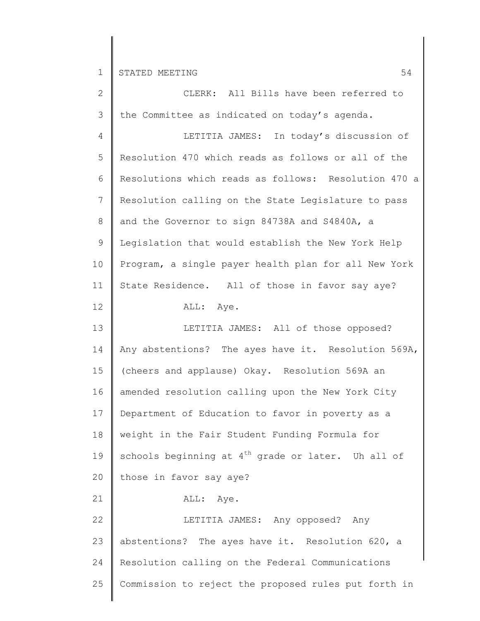| $\overline{2}$ | CLERK: All Bills have been referred to               |
|----------------|------------------------------------------------------|
| 3              | the Committee as indicated on today's agenda.        |
| 4              | LETITIA JAMES: In today's discussion of              |
| 5              | Resolution 470 which reads as follows or all of the  |
| 6              | Resolutions which reads as follows: Resolution 470 a |
| $\overline{7}$ | Resolution calling on the State Legislature to pass  |
| 8              | and the Governor to sign 84738A and S4840A, a        |
| 9              | Legislation that would establish the New York Help   |
| 10             | Program, a single payer health plan for all New York |
| 11             | State Residence. All of those in favor say aye?      |
| 12             | ALL: Aye.                                            |
| 13             | LETITIA JAMES: All of those opposed?                 |
| 14             | Any abstentions? The ayes have it. Resolution 569A,  |
| 15             | (cheers and applause) Okay. Resolution 569A an       |
| 16             | amended resolution calling upon the New York City    |
| 17             | Department of Education to favor in poverty as a     |
| 18             | weight in the Fair Student Funding Formula for       |
| 19             | schools beginning at $4th$ grade or later. Uh all of |
| 20             | those in favor say aye?                              |
| 21             | ALL: Aye.                                            |
| 22             | LETITIA JAMES: Any opposed? Any                      |
| 23             | abstentions? The ayes have it. Resolution 620, a     |
| 24             | Resolution calling on the Federal Communications     |
| 25             | Commission to reject the proposed rules put forth in |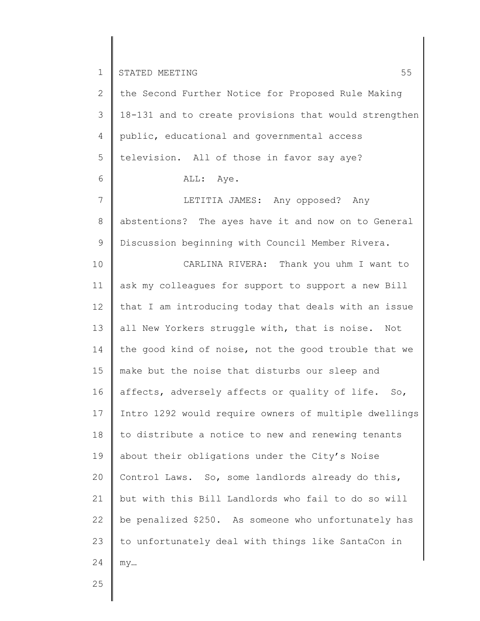| $\mathbf{2}$    | the Second Further Notice for Proposed Rule Making    |
|-----------------|-------------------------------------------------------|
| 3               | 18-131 and to create provisions that would strengthen |
| 4               | public, educational and governmental access           |
| 5               | television. All of those in favor say aye?            |
| 6               | ALL: Aye.                                             |
| $\overline{7}$  | LETITIA JAMES: Any opposed? Any                       |
| 8               | abstentions? The ayes have it and now on to General   |
| $\mathsf 9$     | Discussion beginning with Council Member Rivera.      |
| 10              | CARLINA RIVERA: Thank you uhm I want to               |
| 11              | ask my colleagues for support to support a new Bill   |
| 12 <sup>°</sup> | that I am introducing today that deals with an issue  |
| 13              | all New Yorkers struggle with, that is noise. Not     |
| 14              | the good kind of noise, not the good trouble that we  |
| 15              | make but the noise that disturbs our sleep and        |
| 16              | affects, adversely affects or quality of life. So,    |
| 17              | Intro 1292 would require owners of multiple dwellings |
| 18              | to distribute a notice to new and renewing tenants    |
| 19              | about their obligations under the City's Noise        |
| 20              | Control Laws. So, some landlords already do this,     |
| 21              | but with this Bill Landlords who fail to do so will   |
| 22              | be penalized \$250. As someone who unfortunately has  |
| 23              | to unfortunately deal with things like SantaCon in    |
| 24              | my                                                    |
|                 |                                                       |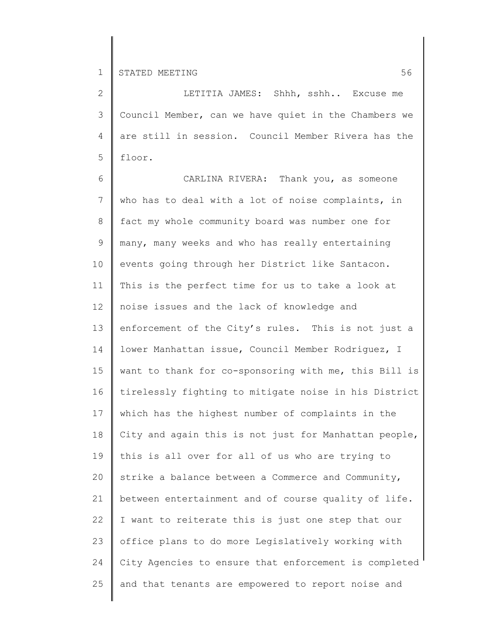2 3 4 5 LETITIA JAMES: Shhh, sshh.. Excuse me Council Member, can we have quiet in the Chambers we are still in session. Council Member Rivera has the floor.

6 7 8 9 10 11 12 13 14 15 16 17 18 19 20 21 22 23 24 25 CARLINA RIVERA: Thank you, as someone who has to deal with a lot of noise complaints, in fact my whole community board was number one for many, many weeks and who has really entertaining events going through her District like Santacon. This is the perfect time for us to take a look at noise issues and the lack of knowledge and enforcement of the City's rules. This is not just a lower Manhattan issue, Council Member Rodriguez, I want to thank for co-sponsoring with me, this Bill is tirelessly fighting to mitigate noise in his District which has the highest number of complaints in the City and again this is not just for Manhattan people, this is all over for all of us who are trying to strike a balance between a Commerce and Community, between entertainment and of course quality of life. I want to reiterate this is just one step that our office plans to do more Legislatively working with City Agencies to ensure that enforcement is completed and that tenants are empowered to report noise and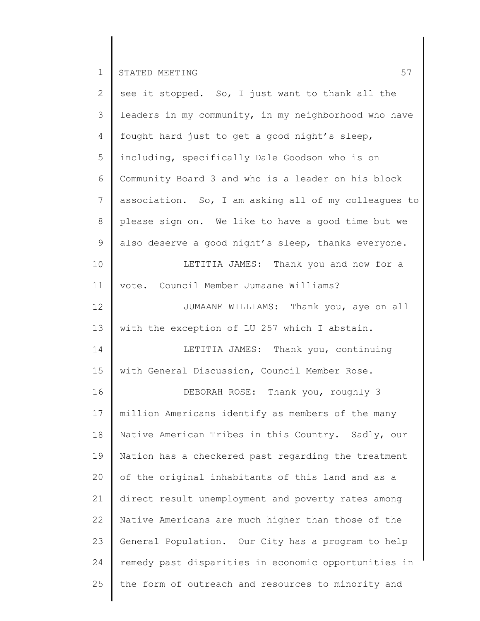| $\mathbf{2}$   | see it stopped. So, I just want to thank all the     |
|----------------|------------------------------------------------------|
| 3              | leaders in my community, in my neighborhood who have |
| 4              | fought hard just to get a good night's sleep,        |
| 5              | including, specifically Dale Goodson who is on       |
| 6              | Community Board 3 and who is a leader on his block   |
| $\overline{7}$ | association. So, I am asking all of my colleagues to |
| 8              | please sign on. We like to have a good time but we   |
| 9              | also deserve a good night's sleep, thanks everyone.  |
| 10             | LETITIA JAMES: Thank you and now for a               |
| 11             | vote. Council Member Jumaane Williams?               |
| 12             | JUMAANE WILLIAMS: Thank you, aye on all              |
| 13             | with the exception of LU 257 which I abstain.        |
| 14             | LETITIA JAMES: Thank you, continuing                 |
| 15             | with General Discussion, Council Member Rose.        |
| 16             | DEBORAH ROSE: Thank you, roughly 3                   |
| 17             | million Americans identify as members of the many    |
| 18             | Native American Tribes in this Country. Sadly, our   |
| 19             | Nation has a checkered past regarding the treatment  |
| 20             | of the original inhabitants of this land and as a    |
| 21             | direct result unemployment and poverty rates among   |
| 22             | Native Americans are much higher than those of the   |
| 23             | General Population. Our City has a program to help   |
| 24             | remedy past disparities in economic opportunities in |
| 25             | the form of outreach and resources to minority and   |
|                |                                                      |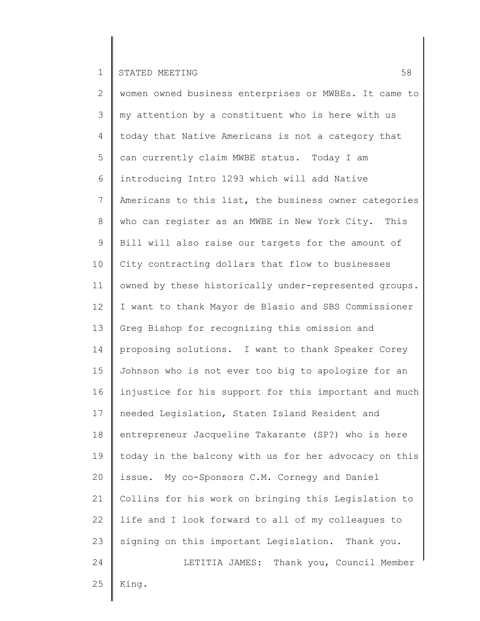2 3 4 5 6 7 8 9 10 11 12 13 14 15 16 17 18 19 20 21 22 23 24 25 women owned business enterprises or MWBEs. It came to my attention by a constituent who is here with us today that Native Americans is not a category that can currently claim MWBE status. Today I am introducing Intro 1293 which will add Native Americans to this list, the business owner categories who can register as an MWBE in New York City. This Bill will also raise our targets for the amount of City contracting dollars that flow to businesses owned by these historically under-represented groups. I want to thank Mayor de Blasio and SBS Commissioner Greg Bishop for recognizing this omission and proposing solutions. I want to thank Speaker Corey Johnson who is not ever too big to apologize for an injustice for his support for this important and much needed Legislation, Staten Island Resident and entrepreneur Jacqueline Takarante (SP?) who is here today in the balcony with us for her advocacy on this issue. My co-Sponsors C.M. Cornegy and Daniel Collins for his work on bringing this Legislation to life and I look forward to all of my colleagues to signing on this important Legislation. Thank you. LETITIA JAMES: Thank you, Council Member King.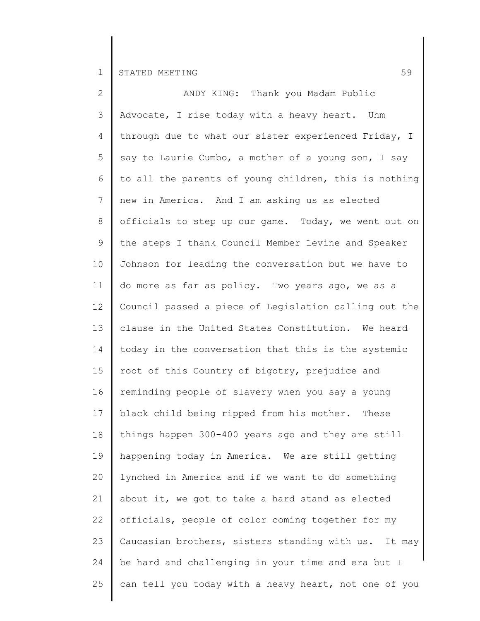| $\mathbf{2}$    | ANDY KING: Thank you Madam Public                     |
|-----------------|-------------------------------------------------------|
| 3               | Advocate, I rise today with a heavy heart. Uhm        |
| 4               | through due to what our sister experienced Friday, I  |
| 5               | say to Laurie Cumbo, a mother of a young son, I say   |
| 6               | to all the parents of young children, this is nothing |
| 7               | new in America. And I am asking us as elected         |
| 8               | officials to step up our game. Today, we went out on  |
| 9               | the steps I thank Council Member Levine and Speaker   |
| 10              | Johnson for leading the conversation but we have to   |
| 11              | do more as far as policy. Two years ago, we as a      |
| 12 <sup>°</sup> | Council passed a piece of Legislation calling out the |
| 13              | clause in the United States Constitution. We heard    |
| 14              | today in the conversation that this is the systemic   |
| 15              | root of this Country of bigotry, prejudice and        |
| 16              | reminding people of slavery when you say a young      |
| 17              | black child being ripped from his mother. These       |
| 18              | things happen 300-400 years ago and they are still    |
| 19              | happening today in America. We are still getting      |
| 20              | lynched in America and if we want to do something     |
| 21              | about it, we got to take a hard stand as elected      |
| 22              | officials, people of color coming together for my     |
| 23              | Caucasian brothers, sisters standing with us. It may  |
| 24              | be hard and challenging in your time and era but I    |
| 25              | can tell you today with a heavy heart, not one of you |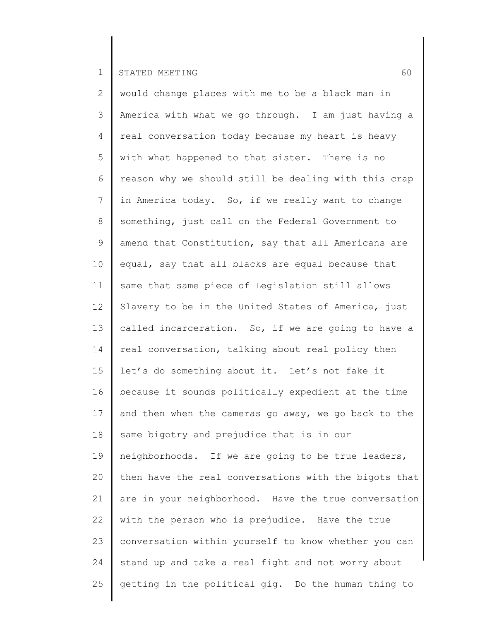2 3 4 5 6 7 8 9 10 11 12 13 14 15 16 17 18 19 20 21 22 23 24 25 would change places with me to be a black man in America with what we go through. I am just having a real conversation today because my heart is heavy with what happened to that sister. There is no reason why we should still be dealing with this crap in America today. So, if we really want to change something, just call on the Federal Government to amend that Constitution, say that all Americans are equal, say that all blacks are equal because that same that same piece of Legislation still allows Slavery to be in the United States of America, just called incarceration. So, if we are going to have a real conversation, talking about real policy then let's do something about it. Let's not fake it because it sounds politically expedient at the time and then when the cameras go away, we go back to the same bigotry and prejudice that is in our neighborhoods. If we are going to be true leaders, then have the real conversations with the bigots that are in your neighborhood. Have the true conversation with the person who is prejudice. Have the true conversation within yourself to know whether you can stand up and take a real fight and not worry about getting in the political gig. Do the human thing to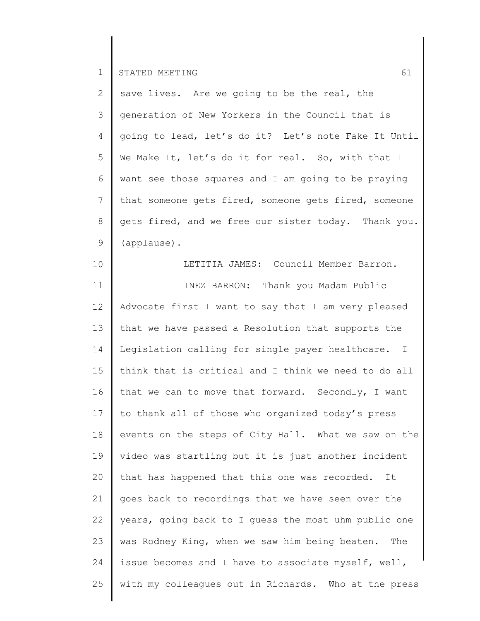2 3 4 5 6 7 8 9 save lives. Are we going to be the real, the generation of New Yorkers in the Council that is going to lead, let's do it? Let's note Fake It Until We Make It, let's do it for real. So, with that I want see those squares and I am going to be praying that someone gets fired, someone gets fired, someone gets fired, and we free our sister today. Thank you. (applause).

10 11 12 13 14 15 16 17 18 19 20 21 22 23 24 25 LETITIA JAMES: Council Member Barron. INEZ BARRON: Thank you Madam Public Advocate first I want to say that I am very pleased that we have passed a Resolution that supports the Legislation calling for single payer healthcare. I think that is critical and I think we need to do all that we can to move that forward. Secondly, I want to thank all of those who organized today's press events on the steps of City Hall. What we saw on the video was startling but it is just another incident that has happened that this one was recorded. It goes back to recordings that we have seen over the years, going back to I guess the most uhm public one was Rodney King, when we saw him being beaten. The issue becomes and I have to associate myself, well, with my colleagues out in Richards. Who at the press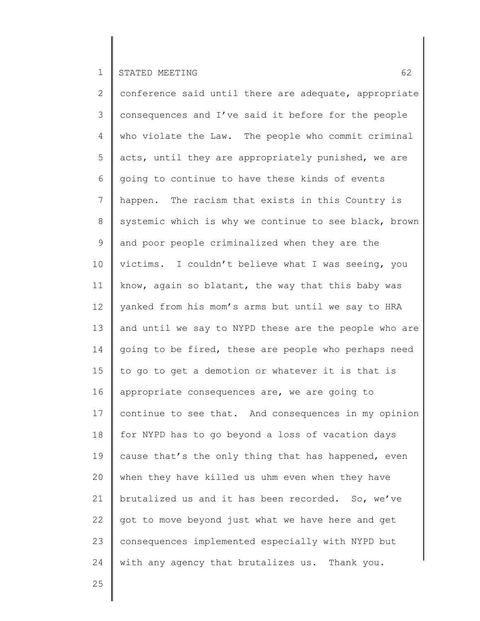2 3 4 5 6 7 8 9 10 11 12 13 14 15 16 17 18 19 20 21 22 23 24 conference said until there are adequate, appropriate consequences and I've said it before for the people who violate the Law. The people who commit criminal acts, until they are appropriately punished, we are going to continue to have these kinds of events happen. The racism that exists in this Country is systemic which is why we continue to see black, brown and poor people criminalized when they are the victims. I couldn't believe what I was seeing, you know, again so blatant, the way that this baby was yanked from his mom's arms but until we say to HRA and until we say to NYPD these are the people who are going to be fired, these are people who perhaps need to go to get a demotion or whatever it is that is appropriate consequences are, we are going to continue to see that. And consequences in my opinion for NYPD has to go beyond a loss of vacation days cause that's the only thing that has happened, even when they have killed us uhm even when they have brutalized us and it has been recorded. So, we've got to move beyond just what we have here and get consequences implemented especially with NYPD but with any agency that brutalizes us. Thank you.

25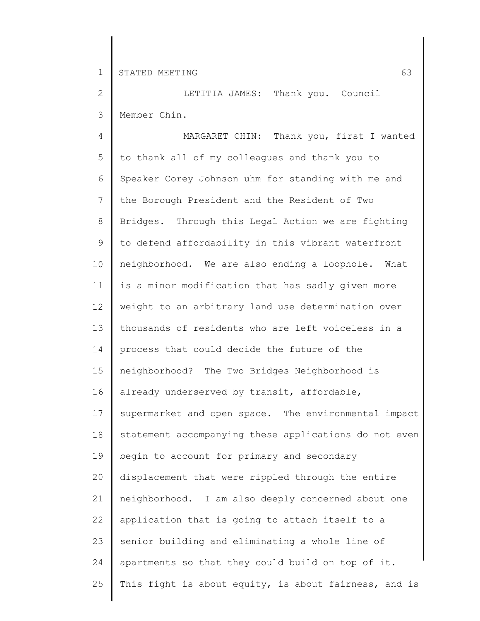2 3 LETITIA JAMES: Thank you. Council Member Chin.

4 5 6 7 8 9 10 11 12 13 14 15 16 17 18 19 20 21 22 23 24 25 MARGARET CHIN: Thank you, first I wanted to thank all of my colleagues and thank you to Speaker Corey Johnson uhm for standing with me and the Borough President and the Resident of Two Bridges. Through this Legal Action we are fighting to defend affordability in this vibrant waterfront neighborhood. We are also ending a loophole. What is a minor modification that has sadly given more weight to an arbitrary land use determination over thousands of residents who are left voiceless in a process that could decide the future of the neighborhood? The Two Bridges Neighborhood is already underserved by transit, affordable, supermarket and open space. The environmental impact statement accompanying these applications do not even begin to account for primary and secondary displacement that were rippled through the entire neighborhood. I am also deeply concerned about one application that is going to attach itself to a senior building and eliminating a whole line of apartments so that they could build on top of it. This fight is about equity, is about fairness, and is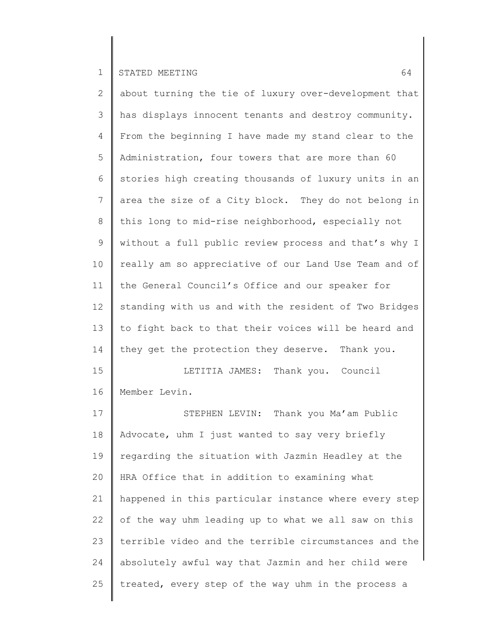2 3 4 5 6 7 8 9 10 11 12 13 14 15 16 17 18 19 about turning the tie of luxury over-development that has displays innocent tenants and destroy community. From the beginning I have made my stand clear to the Administration, four towers that are more than 60 stories high creating thousands of luxury units in an area the size of a City block. They do not belong in this long to mid-rise neighborhood, especially not without a full public review process and that's why I really am so appreciative of our Land Use Team and of the General Council's Office and our speaker for standing with us and with the resident of Two Bridges to fight back to that their voices will be heard and they get the protection they deserve. Thank you. LETITIA JAMES: Thank you. Council Member Levin. STEPHEN LEVIN: Thank you Ma'am Public Advocate, uhm I just wanted to say very briefly regarding the situation with Jazmin Headley at the

20 21 22 23 24 25 HRA Office that in addition to examining what happened in this particular instance where every step of the way uhm leading up to what we all saw on this terrible video and the terrible circumstances and the absolutely awful way that Jazmin and her child were treated, every step of the way uhm in the process a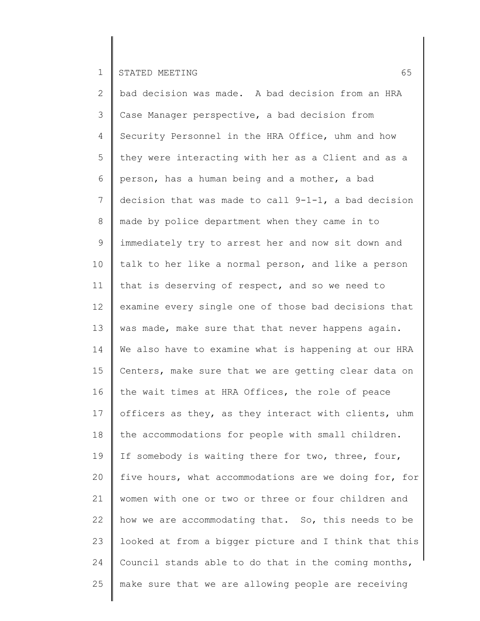2 3 4 5 6 7 8 9 10 11 12 13 14 15 16 17 18 19 20 21 22 23 24 25 bad decision was made. A bad decision from an HRA Case Manager perspective, a bad decision from Security Personnel in the HRA Office, uhm and how they were interacting with her as a Client and as a person, has a human being and a mother, a bad decision that was made to call 9-1-1, a bad decision made by police department when they came in to immediately try to arrest her and now sit down and talk to her like a normal person, and like a person that is deserving of respect, and so we need to examine every single one of those bad decisions that was made, make sure that that never happens again. We also have to examine what is happening at our HRA Centers, make sure that we are getting clear data on the wait times at HRA Offices, the role of peace officers as they, as they interact with clients, uhm the accommodations for people with small children. If somebody is waiting there for two, three, four, five hours, what accommodations are we doing for, for women with one or two or three or four children and how we are accommodating that. So, this needs to be looked at from a bigger picture and I think that this Council stands able to do that in the coming months, make sure that we are allowing people are receiving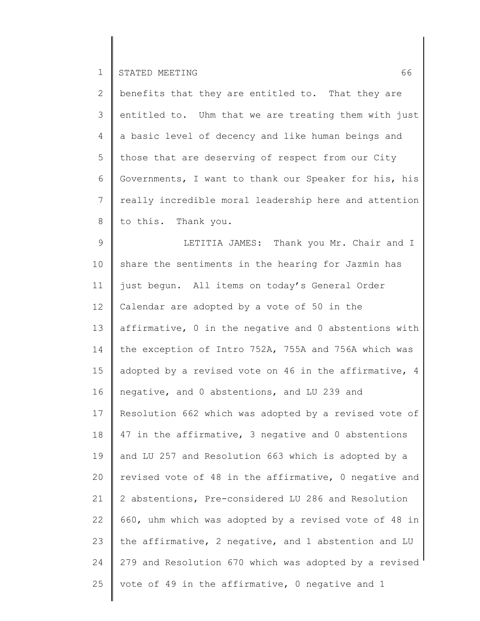2 3 4 5 6 7 8 benefits that they are entitled to. That they are entitled to. Uhm that we are treating them with just a basic level of decency and like human beings and those that are deserving of respect from our City Governments, I want to thank our Speaker for his, his really incredible moral leadership here and attention to this. Thank you.

9 10 11 12 13 14 15 16 17 18 19 20 21 22 23 24 25 LETITIA JAMES: Thank you Mr. Chair and I share the sentiments in the hearing for Jazmin has just begun. All items on today's General Order Calendar are adopted by a vote of 50 in the affirmative, 0 in the negative and 0 abstentions with the exception of Intro 752A, 755A and 756A which was adopted by a revised vote on 46 in the affirmative, 4 negative, and 0 abstentions, and LU 239 and Resolution 662 which was adopted by a revised vote of 47 in the affirmative, 3 negative and 0 abstentions and LU 257 and Resolution 663 which is adopted by a revised vote of 48 in the affirmative, 0 negative and 2 abstentions, Pre-considered LU 286 and Resolution 660, uhm which was adopted by a revised vote of 48 in the affirmative, 2 negative, and 1 abstention and LU 279 and Resolution 670 which was adopted by a revised vote of 49 in the affirmative, 0 negative and 1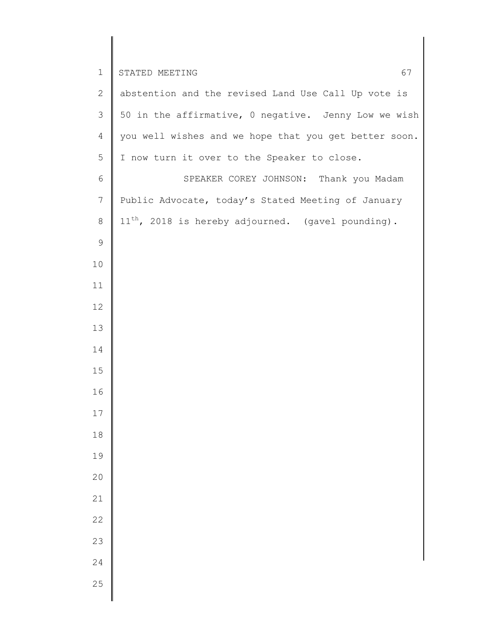| $1\,$            | 67<br>STATED MEETING                                    |
|------------------|---------------------------------------------------------|
| $\mathbf{2}$     | abstention and the revised Land Use Call Up vote is     |
| 3                | 50 in the affirmative, 0 negative. Jenny Low we wish    |
| $\overline{4}$   | you well wishes and we hope that you get better soon.   |
| 5                | I now turn it over to the Speaker to close.             |
| 6                | SPEAKER COREY JOHNSON: Thank you Madam                  |
| $\boldsymbol{7}$ | Public Advocate, today's Stated Meeting of January      |
| $\,8\,$          | $11^{th}$ , 2018 is hereby adjourned. (gavel pounding). |
| $\mathsf 9$      |                                                         |
| 10               |                                                         |
| 11               |                                                         |
| 12               |                                                         |
| 13               |                                                         |
| 14               |                                                         |
| 15               |                                                         |
| 16               |                                                         |
| $17$             |                                                         |
| $1\,8$           |                                                         |
| 19               |                                                         |
| 20               |                                                         |
| $21\,$           |                                                         |
| 22               |                                                         |
| 23               |                                                         |
| 24               |                                                         |
| 25               |                                                         |

║